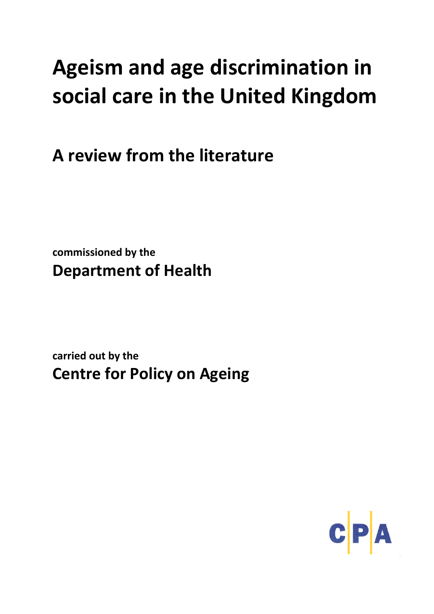# **Ageism and age discrimination in social care in the United Kingdom**

**A review from the literature**

**commissioned by the Department of Health** 

**carried out by the Centre for Policy on Ageing**

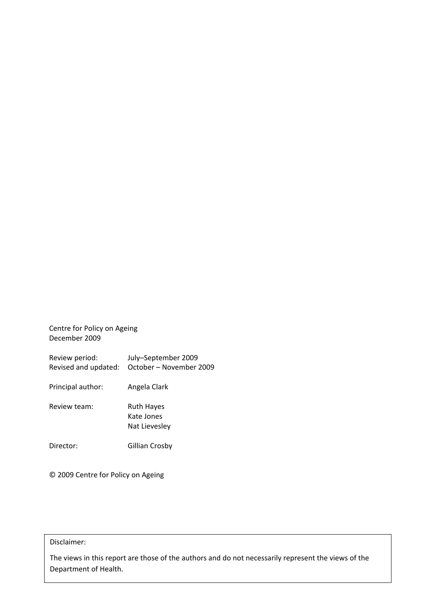Centre for Policy on Ageing December 2009

| Review period:<br>Revised and updated: | July-September 2009<br>October - November 2009   |
|----------------------------------------|--------------------------------------------------|
| Principal author:                      | Angela Clark                                     |
| Review team:                           | <b>Ruth Hayes</b><br>Kate Jones<br>Nat Lievesley |
| Director:                              | Gillian Crosby                                   |

© 2009 Centre for Policy on Ageing

## Disclaimer:

The views in this report are those of the authors and do not necessarily represent the views of the Department of Health.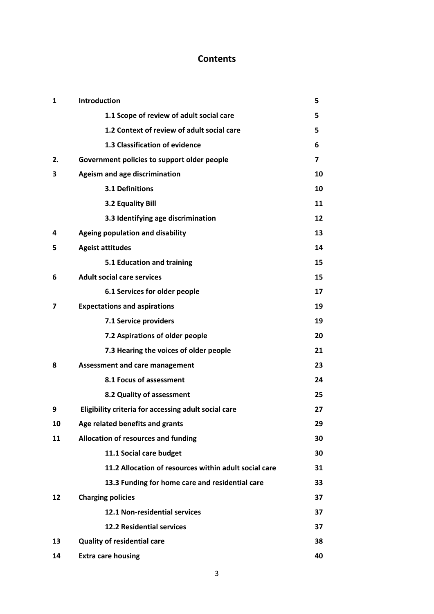## **Contents**

| $\mathbf{1}$ | Introduction                                          | 5  |  |
|--------------|-------------------------------------------------------|----|--|
|              | 1.1 Scope of review of adult social care              | 5  |  |
|              | 1.2 Context of review of adult social care            | 5  |  |
|              | 1.3 Classification of evidence                        | 6  |  |
| 2.           | Government policies to support older people           | 7  |  |
| 3            | Ageism and age discrimination                         |    |  |
|              | 3.1 Definitions                                       | 10 |  |
|              | 3.2 Equality Bill                                     | 11 |  |
|              | 3.3 Identifying age discrimination                    | 12 |  |
| 4            | Ageing population and disability                      |    |  |
| 5            | <b>Ageist attitudes</b>                               | 14 |  |
|              | 5.1 Education and training                            | 15 |  |
| 6            | <b>Adult social care services</b>                     | 15 |  |
|              | 6.1 Services for older people                         | 17 |  |
| 7            | <b>Expectations and aspirations</b>                   | 19 |  |
|              | 7.1 Service providers                                 | 19 |  |
|              | 7.2 Aspirations of older people                       | 20 |  |
|              | 7.3 Hearing the voices of older people                | 21 |  |
| 8            | <b>Assessment and care management</b>                 | 23 |  |
|              | 8.1 Focus of assessment                               | 24 |  |
|              | 8.2 Quality of assessment                             | 25 |  |
| 9            | Eligibility criteria for accessing adult social care  | 27 |  |
| 10           | Age related benefits and grants                       |    |  |
| 11           | Allocation of resources and funding                   | 30 |  |
|              | 11.1 Social care budget                               | 30 |  |
|              | 11.2 Allocation of resources within adult social care | 31 |  |
|              | 13.3 Funding for home care and residential care       | 33 |  |
| 12           | <b>Charging policies</b>                              | 37 |  |
|              | <b>12.1 Non-residential services</b>                  | 37 |  |
|              | <b>12.2 Residential services</b>                      | 37 |  |
| 13           | <b>Quality of residential care</b>                    | 38 |  |
| 14           | <b>Extra care housing</b>                             | 40 |  |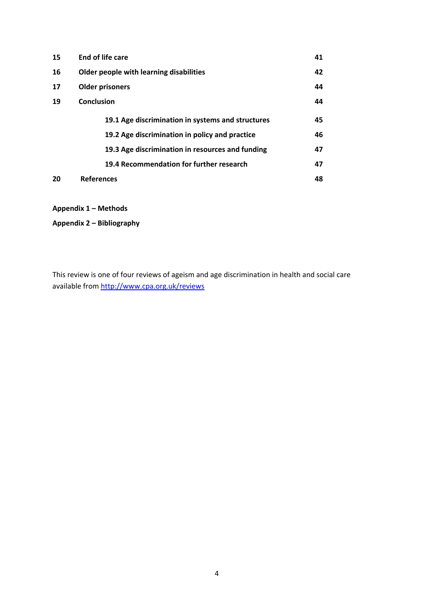| 15                                             | End of life care                                  | 41 |  |  |
|------------------------------------------------|---------------------------------------------------|----|--|--|
| 16                                             | Older people with learning disabilities           |    |  |  |
| 17                                             | <b>Older prisoners</b>                            |    |  |  |
| 19                                             | Conclusion                                        | 44 |  |  |
|                                                | 19.1 Age discrimination in systems and structures | 45 |  |  |
| 19.2 Age discrimination in policy and practice |                                                   |    |  |  |
|                                                | 19.3 Age discrimination in resources and funding  | 47 |  |  |
|                                                | 19.4 Recommendation for further research          | 47 |  |  |
| 20                                             | <b>References</b>                                 | 48 |  |  |

**Appendix 1 – Methods**

**Appendix 2 – Bibliography**

This review is one of four reviews of ageism and age discrimination in health and social care available from http://www.cpa.org.uk/reviews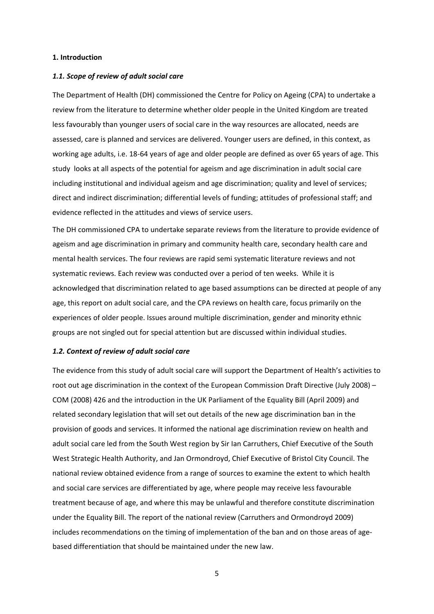## **1. Introduction**

#### *1.1. Scope of review of adult social care*

The Department of Health (DH) commissioned the Centre for Policy on Ageing (CPA) to undertake a review from the literature to determine whether older people in the United Kingdom are treated less favourably than younger users of social care in the way resources are allocated, needs are assessed, care is planned and services are delivered. Younger users are defined, in this context, as working age adults, i.e. 18‐64 years of age and older people are defined as over 65 years of age. This study looks at all aspects of the potential for ageism and age discrimination in adult social care including institutional and individual ageism and age discrimination; quality and level of services; direct and indirect discrimination; differential levels of funding; attitudes of professional staff; and evidence reflected in the attitudes and views of service users.

The DH commissioned CPA to undertake separate reviews from the literature to provide evidence of ageism and age discrimination in primary and community health care, secondary health care and mental health services. The four reviews are rapid semi systematic literature reviews and not systematic reviews. Each review was conducted over a period of ten weeks. While it is acknowledged that discrimination related to age based assumptions can be directed at people of any age, this report on adult social care, and the CPA reviews on health care, focus primarily on the experiences of older people. Issues around multiple discrimination, gender and minority ethnic groups are not singled out for special attention but are discussed within individual studies.

## *1.2. Context of review of adult social care*

The evidence from this study of adult social care will support the Department of Health's activities to root out age discrimination in the context of the European Commission Draft Directive (July 2008) – COM (2008) 426 and the introduction in the UK Parliament of the Equality Bill (April 2009) and related secondary legislation that will set out details of the new age discrimination ban in the provision of goods and services. It informed the national age discrimination review on health and adult social care led from the South West region by Sir Ian Carruthers, Chief Executive of the South West Strategic Health Authority, and Jan Ormondroyd, Chief Executive of Bristol City Council. The national review obtained evidence from a range of sources to examine the extent to which health and social care services are differentiated by age, where people may receive less favourable treatment because of age, and where this may be unlawful and therefore constitute discrimination under the Equality Bill. The report of the national review (Carruthers and Ormondroyd 2009) includes recommendations on the timing of implementation of the ban and on those areas of agebased differentiation that should be maintained under the new law.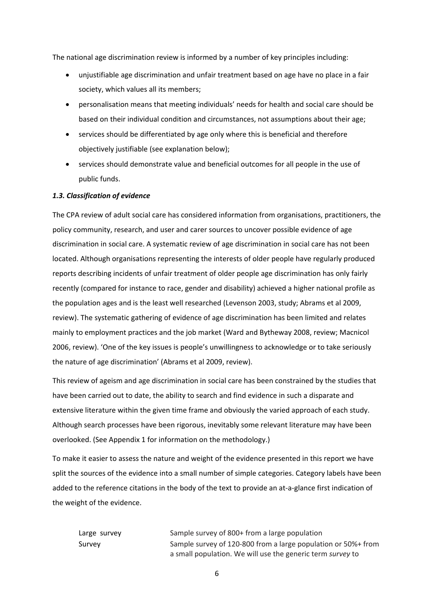The national age discrimination review is informed by a number of key principles including:

- unjustifiable age discrimination and unfair treatment based on age have no place in a fair society, which values all its members;
- personalisation means that meeting individuals' needs for health and social care should be based on their individual condition and circumstances, not assumptions about their age;
- services should be differentiated by age only where this is beneficial and therefore objectively justifiable (see explanation below);
- services should demonstrate value and beneficial outcomes for all people in the use of public funds.

## *1.3. Classification of evidence*

The CPA review of adult social care has considered information from organisations, practitioners, the policy community, research, and user and carer sources to uncover possible evidence of age discrimination in social care. A systematic review of age discrimination in social care has not been located. Although organisations representing the interests of older people have regularly produced reports describing incidents of unfair treatment of older people age discrimination has only fairly recently (compared for instance to race, gender and disability) achieved a higher national profile as the population ages and is the least well researched (Levenson 2003, study; Abrams et al 2009, review). The systematic gathering of evidence of age discrimination has been limited and relates mainly to employment practices and the job market (Ward and Bytheway 2008, review; Macnicol 2006, review). 'One of the key issues is people's unwillingness to acknowledge or to take seriously the nature of age discrimination' (Abrams et al 2009, review).

This review of ageism and age discrimination in social care has been constrained by the studies that have been carried out to date, the ability to search and find evidence in such a disparate and extensive literature within the given time frame and obviously the varied approach of each study. Although search processes have been rigorous, inevitably some relevant literature may have been overlooked. (See Appendix 1 for information on the methodology.)

To make it easier to assess the nature and weight of the evidence presented in this report we have split the sources of the evidence into a small number of simple categories. Category labels have been added to the reference citations in the body of the text to provide an at-a-glance first indication of the weight of the evidence.

Large survey Sample survey of 800+ from a large population Survey Sample survey of 120‐800 from a large population or 50%+ from a small population. We will use the generic term *survey* to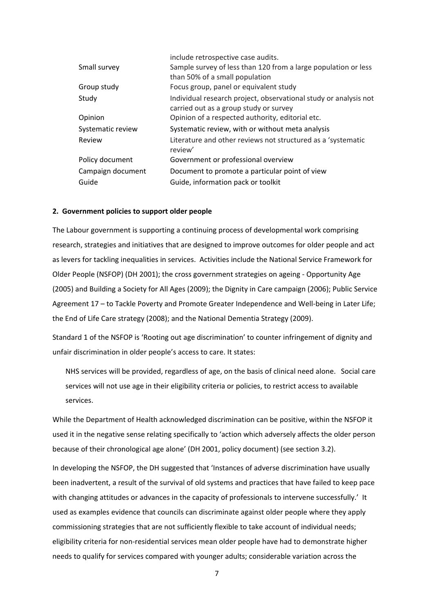|                   | include retrospective case audits.                                                                         |
|-------------------|------------------------------------------------------------------------------------------------------------|
| Small survey      | Sample survey of less than 120 from a large population or less                                             |
|                   | than 50% of a small population                                                                             |
| Group study       | Focus group, panel or equivalent study                                                                     |
| Study             | Individual research project, observational study or analysis not<br>carried out as a group study or survey |
| Opinion           | Opinion of a respected authority, editorial etc.                                                           |
| Systematic review | Systematic review, with or without meta analysis                                                           |
| Review            | Literature and other reviews not structured as a 'systematic<br>review'                                    |
| Policy document   | Government or professional overview                                                                        |
| Campaign document | Document to promote a particular point of view                                                             |
| Guide             | Guide, information pack or toolkit                                                                         |
|                   |                                                                                                            |

## **2. Government policies to support older people**

The Labour government is supporting a continuing process of developmental work comprising research, strategies and initiatives that are designed to improve outcomes for older people and act as levers for tackling inequalities in services. Activities include the National Service Framework for Older People (NSFOP) (DH 2001); the cross government strategies on ageing ‐ Opportunity Age (2005) and Building a Society for All Ages (2009); the Dignity in Care campaign (2006); Public Service Agreement 17 – to Tackle Poverty and Promote Greater Independence and Well‐being in Later Life; the End of Life Care strategy (2008); and the National Dementia Strategy (2009).

Standard 1 of the NSFOP is 'Rooting out age discrimination' to counter infringement of dignity and unfair discrimination in older people's access to care. It states:

NHS services will be provided, regardless of age, on the basis of clinical need alone. Social care services will not use age in their eligibility criteria or policies, to restrict access to available services.

While the Department of Health acknowledged discrimination can be positive, within the NSFOP it used it in the negative sense relating specifically to 'action which adversely affects the older person because of their chronological age alone' (DH 2001, policy document) (see section 3.2).

In developing the NSFOP, the DH suggested that 'Instances of adverse discrimination have usually been inadvertent, a result of the survival of old systems and practices that have failed to keep pace with changing attitudes or advances in the capacity of professionals to intervene successfully.' It used as examples evidence that councils can discriminate against older people where they apply commissioning strategies that are not sufficiently flexible to take account of individual needs; eligibility criteria for non‐residential services mean older people have had to demonstrate higher needs to qualify for services compared with younger adults; considerable variation across the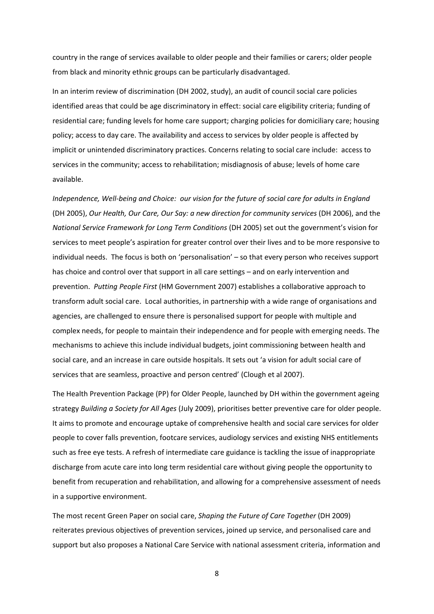country in the range of services available to older people and their families or carers; older people from black and minority ethnic groups can be particularly disadvantaged.

In an interim review of discrimination (DH 2002, study), an audit of council social care policies identified areas that could be age discriminatory in effect: social care eligibility criteria; funding of residential care; funding levels for home care support; charging policies for domiciliary care; housing policy; access to day care. The availability and access to services by older people is affected by implicit or unintended discriminatory practices. Concerns relating to social care include: access to services in the community; access to rehabilitation; misdiagnosis of abuse; levels of home care available.

Independence, Well-being and Choice: our vision for the future of social care for adults in England (DH 2005), *Our Health, Our Care, Our Say: a new direction for community services* (DH 2006), and the *National Service Framework for Long Term Conditions* (DH 2005) set out the government's vision for services to meet people's aspiration for greater control over their lives and to be more responsive to individual needs. The focus is both on 'personalisation' – so that every person who receives support has choice and control over that support in all care settings – and on early intervention and prevention. *Putting People First* (HM Government 2007) establishes a collaborative approach to transform adult social care. Local authorities, in partnership with a wide range of organisations and agencies, are challenged to ensure there is personalised support for people with multiple and complex needs, for people to maintain their independence and for people with emerging needs. The mechanisms to achieve this include individual budgets, joint commissioning between health and social care, and an increase in care outside hospitals. It sets out 'a vision for adult social care of services that are seamless, proactive and person centred' (Clough et al 2007).

The Health Prevention Package (PP) for Older People, launched by DH within the government ageing strategy *Building a Society for All Ages* (July 2009), prioritises better preventive care for older people. It aims to promote and encourage uptake of comprehensive health and social care services for older people to cover falls prevention, footcare services, audiology services and existing NHS entitlements such as free eye tests. A refresh of intermediate care guidance is tackling the issue of inappropriate discharge from acute care into long term residential care without giving people the opportunity to benefit from recuperation and rehabilitation, and allowing for a comprehensive assessment of needs in a supportive environment.

The most recent Green Paper on social care, *Shaping the Future of Care Together* (DH 2009) reiterates previous objectives of prevention services, joined up service, and personalised care and support but also proposes a National Care Service with national assessment criteria, information and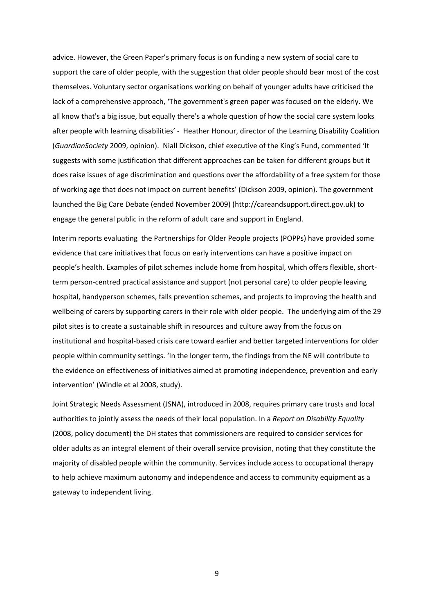advice. However, the Green Paper's primary focus is on funding a new system of social care to support the care of older people, with the suggestion that older people should bear most of the cost themselves. Voluntary sector organisations working on behalf of younger adults have criticised the lack of a comprehensive approach, 'The government's green paper was focused on the elderly. We all know that's a big issue, but equally there's a whole question of how the social care system looks after people with learning disabilities' ‐ Heather Honour, director of the Learning Disability Coalition (*GuardianSociety* 2009, opinion). Niall Dickson, chief executive of the King's Fund, commented 'It suggests with some justification that different approaches can be taken for different groups but it does raise issues of age discrimination and questions over the affordability of a free system for those of working age that does not impact on current benefits' (Dickson 2009, opinion). The government launched the Big Care Debate (ended November 2009) (http://careandsupport.direct.gov.uk) to engage the general public in the reform of adult care and support in England.

Interim reports evaluating the Partnerships for Older People projects (POPPs) have provided some evidence that care initiatives that focus on early interventions can have a positive impact on people's health. Examples of pilot schemes include home from hospital, which offers flexible, short‐ term person-centred practical assistance and support (not personal care) to older people leaving hospital, handyperson schemes, falls prevention schemes, and projects to improving the health and wellbeing of carers by supporting carers in their role with older people. The underlying aim of the 29 pilot sites is to create a sustainable shift in resources and culture away from the focus on institutional and hospital‐based crisis care toward earlier and better targeted interventions for older people within community settings. 'In the longer term, the findings from the NE will contribute to the evidence on effectiveness of initiatives aimed at promoting independence, prevention and early intervention' (Windle et al 2008, study).

Joint Strategic Needs Assessment (JSNA), introduced in 2008, requires primary care trusts and local authorities to jointly assess the needs of their local population. In a *Report on Disability Equality* (2008, policy document) the DH states that commissioners are required to consider services for older adults as an integral element of their overall service provision, noting that they constitute the majority of disabled people within the community. Services include access to occupational therapy to help achieve maximum autonomy and independence and access to community equipment as a gateway to independent living.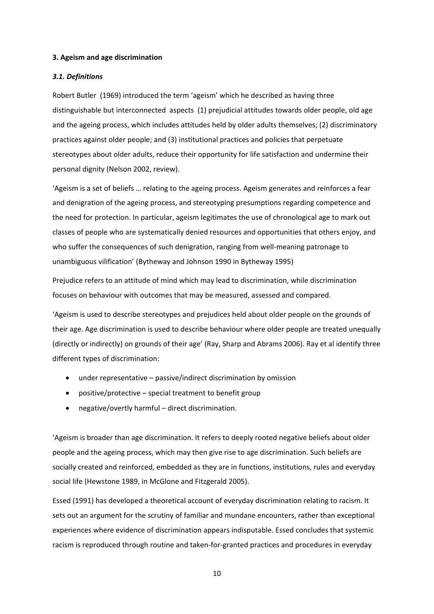## **3. Ageism and age discrimination**

## *3.1. Definitions*

Robert Butler (1969) introduced the term 'ageism' which he described as having three distinguishable but interconnected aspects (1) prejudicial attitudes towards older people, old age and the ageing process, which includes attitudes held by older adults themselves; (2) discriminatory practices against older people; and (3) institutional practices and policies that perpetuate stereotypes about older adults, reduce their opportunity for life satisfaction and undermine their personal dignity (Nelson 2002, review).

'Ageism is a set of beliefs … relating to the ageing process. Ageism generates and reinforces a fear and denigration of the ageing process, and stereotyping presumptions regarding competence and the need for protection. In particular, ageism legitimates the use of chronological age to mark out classes of people who are systematically denied resources and opportunities that others enjoy, and who suffer the consequences of such denigration, ranging from well-meaning patronage to unambiguous vilification' (Bytheway and Johnson 1990 in Bytheway 1995)

Prejudice refers to an attitude of mind which may lead to discrimination, while discrimination focuses on behaviour with outcomes that may be measured, assessed and compared.

'Ageism is used to describe stereotypes and prejudices held about older people on the grounds of their age. Age discrimination is used to describe behaviour where older people are treated unequally (directly or indirectly) on grounds of their age' (Ray, Sharp and Abrams 2006). Ray et al identify three different types of discrimination:

- under representative passive/indirect discrimination by omission
- positive/protective special treatment to benefit group
- negative/overtly harmful direct discrimination.

'Ageism is broader than age discrimination. It refers to deeply rooted negative beliefs about older people and the ageing process, which may then give rise to age discrimination. Such beliefs are socially created and reinforced, embedded as they are in functions, institutions, rules and everyday social life (Hewstone 1989, in McGlone and Fitzgerald 2005).

Essed (1991) has developed a theoretical account of everyday discrimination relating to racism. It sets out an argument for the scrutiny of familiar and mundane encounters, rather than exceptional experiences where evidence of discrimination appears indisputable. Essed concludes that systemic racism is reproduced through routine and taken-for-granted practices and procedures in everyday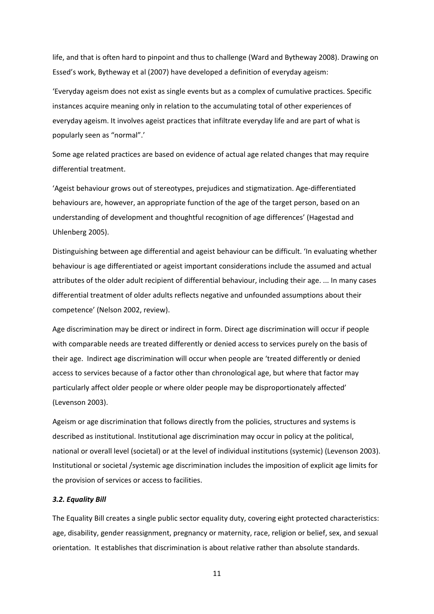life, and that is often hard to pinpoint and thus to challenge (Ward and Bytheway 2008). Drawing on Essed's work, Bytheway et al (2007) have developed a definition of everyday ageism:

'Everyday ageism does not exist as single events but as a complex of cumulative practices. Specific instances acquire meaning only in relation to the accumulating total of other experiences of everyday ageism. It involves ageist practices that infiltrate everyday life and are part of what is popularly seen as "normal".'

Some age related practices are based on evidence of actual age related changes that may require differential treatment.

'Ageist behaviour grows out of stereotypes, prejudices and stigmatization. Age‐differentiated behaviours are, however, an appropriate function of the age of the target person, based on an understanding of development and thoughtful recognition of age differences' (Hagestad and Uhlenberg 2005).

Distinguishing between age differential and ageist behaviour can be difficult. 'In evaluating whether behaviour is age differentiated or ageist important considerations include the assumed and actual attributes of the older adult recipient of differential behaviour, including their age. ... In many cases differential treatment of older adults reflects negative and unfounded assumptions about their competence' (Nelson 2002, review).

Age discrimination may be direct or indirect in form. Direct age discrimination will occur if people with comparable needs are treated differently or denied access to services purely on the basis of their age. Indirect age discrimination will occur when people are 'treated differently or denied access to services because of a factor other than chronological age, but where that factor may particularly affect older people or where older people may be disproportionately affected' (Levenson 2003).

Ageism or age discrimination that follows directly from the policies, structures and systems is described as institutional. Institutional age discrimination may occur in policy at the political, national or overall level (societal) or at the level of individual institutions (systemic) (Levenson 2003). Institutional or societal /systemic age discrimination includes the imposition of explicit age limits for the provision of services or access to facilities.

## *3.2. Equality Bill*

The Equality Bill creates a single public sector equality duty, covering eight protected characteristics: age, disability, gender reassignment, pregnancy or maternity, race, religion or belief, sex, and sexual orientation. It establishes that discrimination is about relative rather than absolute standards.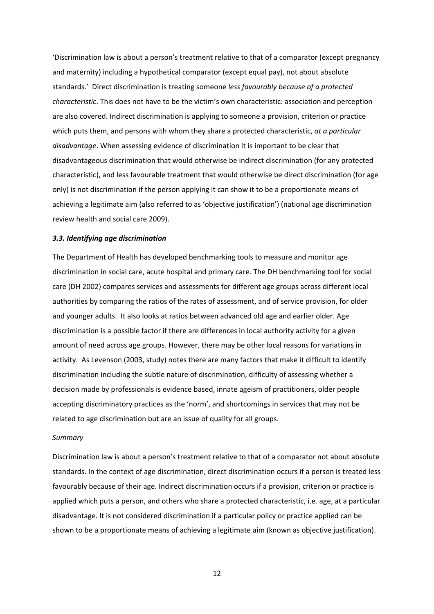'Discrimination law is about a person's treatment relative to that of a comparator (except pregnancy and maternity) including a hypothetical comparator (except equal pay), not about absolute standards.' Direct discrimination is treating someone *less favourably because of a protected characteristic*. This does not have to be the victim's own characteristic: association and perception are also covered. Indirect discrimination is applying to someone a provision, criterion or practice which puts them, and persons with whom they share a protected characteristic, *at a particular disadvantage*. When assessing evidence of discrimination it is important to be clear that disadvantageous discrimination that would otherwise be indirect discrimination (for any protected characteristic), and less favourable treatment that would otherwise be direct discrimination (for age only) is not discrimination if the person applying it can show it to be a proportionate means of achieving a legitimate aim (also referred to as 'objective justification') (national age discrimination review health and social care 2009).

## *3.3. Identifying age discrimination*

The Department of Health has developed benchmarking tools to measure and monitor age discrimination in social care, acute hospital and primary care. The DH benchmarking tool for social care (DH 2002) compares services and assessments for different age groups across different local authorities by comparing the ratios of the rates of assessment, and of service provision, for older and younger adults. It also looks at ratios between advanced old age and earlier older. Age discrimination is a possible factor if there are differences in local authority activity for a given amount of need across age groups. However, there may be other local reasons for variations in activity. As Levenson (2003, study) notes there are many factors that make it difficult to identify discrimination including the subtle nature of discrimination, difficulty of assessing whether a decision made by professionals is evidence based, innate ageism of practitioners, older people accepting discriminatory practices as the 'norm', and shortcomings in services that may not be related to age discrimination but are an issue of quality for all groups.

#### *Summary*

Discrimination law is about a person's treatment relative to that of a comparator not about absolute standards. In the context of age discrimination, direct discrimination occurs if a person is treated less favourably because of their age. Indirect discrimination occurs if a provision, criterion or practice is applied which puts a person, and others who share a protected characteristic, i.e. age, at a particular disadvantage. It is not considered discrimination if a particular policy or practice applied can be shown to be a proportionate means of achieving a legitimate aim (known as objective justification).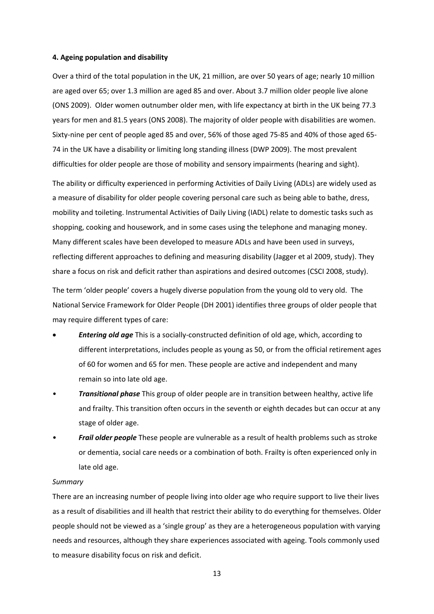## **4. Ageing population and disability**

Over a third of the total population in the UK, 21 million, are over 50 years of age; nearly 10 million are aged over 65; over 1.3 million are aged 85 and over. About 3.7 million older people live alone (ONS 2009). Older women outnumber older men, with life expectancy at birth in the UK being 77.3 years for men and 81.5 years (ONS 2008). The majority of older people with disabilities are women. Sixty-nine per cent of people aged 85 and over, 56% of those aged 75-85 and 40% of those aged 65-74 in the UK have a disability or limiting long standing illness (DWP 2009). The most prevalent difficulties for older people are those of mobility and sensory impairments (hearing and sight).

The ability or difficulty experienced in performing Activities of Daily Living (ADLs) are widely used as a measure of disability for older people covering personal care such as being able to bathe, dress, mobility and toileting. Instrumental Activities of Daily Living (IADL) relate to domestic tasks such as shopping, cooking and housework, and in some cases using the telephone and managing money. Many different scales have been developed to measure ADLs and have been used in surveys, reflecting different approaches to defining and measuring disability (Jagger et al 2009, study). They share a focus on risk and deficit rather than aspirations and desired outcomes (CSCI 2008, study).

The term 'older people' covers a hugely diverse population from the young old to very old. The National Service Framework for Older People (DH 2001) identifies three groups of older people that may require different types of care:

- *Entering old age* This is a socially‐constructed definition of old age, which, according to different interpretations, includes people as young as 50, or from the official retirement ages of 60 for women and 65 for men. These people are active and independent and many remain so into late old age.
- *Transitional phase* This group of older people are in transition between healthy, active life and frailty. This transition often occurs in the seventh or eighth decades but can occur at any stage of older age.
- *Frail older people* These people are vulnerable as a result of health problems such as stroke or dementia, social care needs or a combination of both. Frailty is often experienced only in late old age.

#### *Summary*

There are an increasing number of people living into older age who require support to live their lives as a result of disabilities and ill health that restrict their ability to do everything for themselves. Older people should not be viewed as a 'single group' as they are a heterogeneous population with varying needs and resources, although they share experiences associated with ageing. Tools commonly used to measure disability focus on risk and deficit.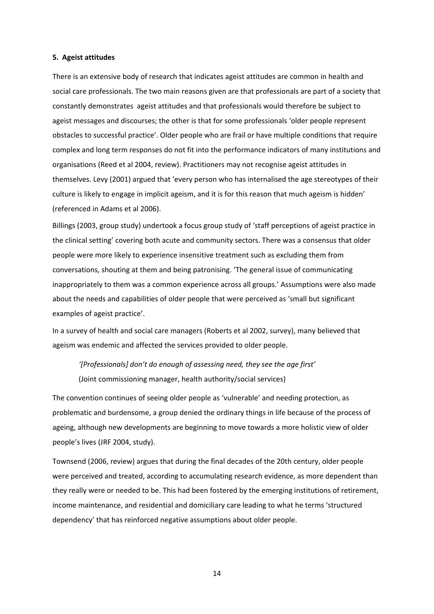## **5. Ageist attitudes**

There is an extensive body of research that indicates ageist attitudes are common in health and social care professionals. The two main reasons given are that professionals are part of a society that constantly demonstrates ageist attitudes and that professionals would therefore be subject to ageist messages and discourses; the other is that for some professionals 'older people represent obstacles to successful practice'. Older people who are frail or have multiple conditions that require complex and long term responses do not fit into the performance indicators of many institutions and organisations (Reed et al 2004, review). Practitioners may not recognise ageist attitudes in themselves. Levy (2001) argued that 'every person who has internalised the age stereotypes of their culture is likely to engage in implicit ageism, and it is for this reason that much ageism is hidden' (referenced in Adams et al 2006).

Billings (2003, group study) undertook a focus group study of 'staff perceptions of ageist practice in the clinical setting' covering both acute and community sectors. There was a consensus that older people were more likely to experience insensitive treatment such as excluding them from conversations, shouting at them and being patronising. 'The general issue of communicating inappropriately to them was a common experience across all groups.' Assumptions were also made about the needs and capabilities of older people that were perceived as 'small but significant examples of ageist practice'.

In a survey of health and social care managers (Roberts et al 2002, survey), many believed that ageism was endemic and affected the services provided to older people.

*'[Professionals] don't do enough of assessing need, they see the age first'* (Joint commissioning manager, health authority/social services)

The convention continues of seeing older people as 'vulnerable' and needing protection, as problematic and burdensome, a group denied the ordinary things in life because of the process of ageing, although new developments are beginning to move towards a more holistic view of older people's lives (JRF 2004, study).

Townsend (2006, review) argues that during the final decades of the 20th century, older people were perceived and treated, according to accumulating research evidence, as more dependent than they really were or needed to be. This had been fostered by the emerging institutions of retirement, income maintenance, and residential and domiciliary care leading to what he terms 'structured dependency' that has reinforced negative assumptions about older people.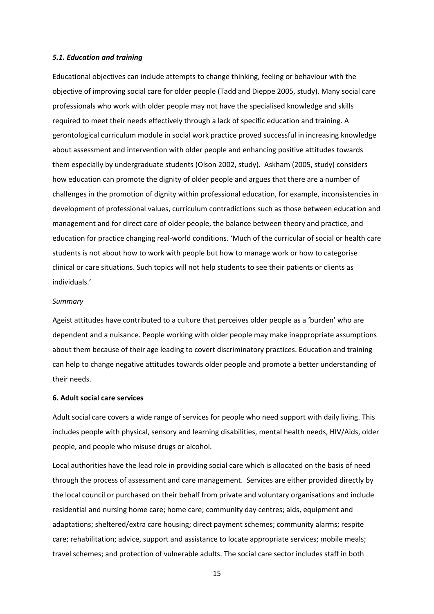#### *5.1. Education and training*

Educational objectives can include attempts to change thinking, feeling or behaviour with the objective of improving social care for older people (Tadd and Dieppe 2005, study). Many social care professionals who work with older people may not have the specialised knowledge and skills required to meet their needs effectively through a lack of specific education and training. A gerontological curriculum module in social work practice proved successful in increasing knowledge about assessment and intervention with older people and enhancing positive attitudes towards them especially by undergraduate students (Olson 2002, study). Askham (2005, study) considers how education can promote the dignity of older people and argues that there are a number of challenges in the promotion of dignity within professional education, for example, inconsistencies in development of professional values, curriculum contradictions such as those between education and management and for direct care of older people, the balance between theory and practice, and education for practice changing real‐world conditions. 'Much of the curricular of social or health care students is not about how to work with people but how to manage work or how to categorise clinical or care situations. Such topics will not help students to see their patients or clients as individuals.'

#### *Summary*

Ageist attitudes have contributed to a culture that perceives older people as a 'burden' who are dependent and a nuisance. People working with older people may make inappropriate assumptions about them because of their age leading to covert discriminatory practices. Education and training can help to change negative attitudes towards older people and promote a better understanding of their needs.

## **6. Adult social care services**

Adult social care covers a wide range of services for people who need support with daily living. This includes people with physical, sensory and learning disabilities, mental health needs, HIV/Aids, older people, and people who misuse drugs or alcohol.

Local authorities have the lead role in providing social care which is allocated on the basis of need through the process of assessment and care management. Services are either provided directly by the local council or purchased on their behalf from private and voluntary organisations and include residential and nursing home care; home care; community day centres; aids, equipment and adaptations; sheltered/extra care housing; direct payment schemes; community alarms; respite care; rehabilitation; advice, support and assistance to locate appropriate services; mobile meals; travel schemes; and protection of vulnerable adults. The social care sector includes staff in both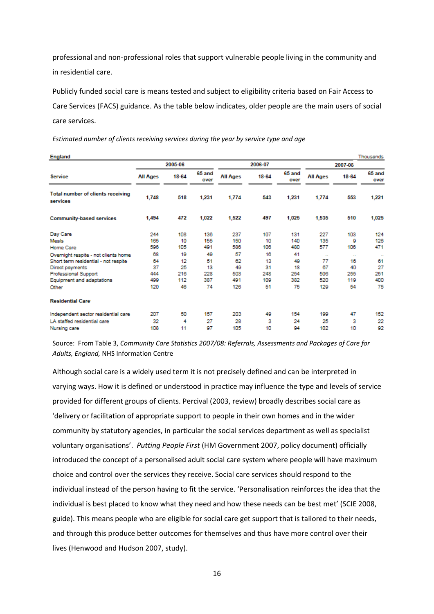professional and non‐professional roles that support vulnerable people living in the community and in residential care.

Publicly funded social care is means tested and subject to eligibility criteria based on Fair Access to Care Services (FACS) guidance. As the table below indicates, older people are the main users of social care services.

| <b>England</b><br>Thousands                          |                 |       |                |                 |       |                |                 |        |                |
|------------------------------------------------------|-----------------|-------|----------------|-----------------|-------|----------------|-----------------|--------|----------------|
|                                                      | 2005-06         |       |                | 2006-07         |       |                | 2007-08         |        |                |
| <b>Service</b>                                       | <b>All Ages</b> | 18-64 | 65 and<br>over | <b>All Ages</b> | 18-64 | 65 and<br>over | <b>All Ages</b> | 18-64  | 65 and<br>over |
| <b>Total number of clients receiving</b><br>services | 1,748           | 518   | 1.231          | 1,774           | 543   | 1.231          | 1,774           | 553    | 1,221          |
| <b>Community-based services</b>                      | 1,494           | 472   | 1,022          | 1,522           | 497   | 1,025          | 1,535           | 510    | 1,025          |
| Day Care                                             | 244             | 108   | 136            | 237             | 107   | 131            | 227             | 103    | 124            |
| Meals                                                | 165             | 10    | 155            | 150             | 10    | 140            | 135             | 9      | 126            |
| Home Care                                            | 596             | 105   | 491            | 586             | 106   | 480            | 577             | 106    | 471            |
| Overnight respite - not clients home                 | 68              | 19    | 49             | 57              | 16    | 41             | $\sim$          | $\sim$ | $\mathbf{a}$   |
| Short term residential - not respite                 | 64              | 12    | 51             | 62              | 13    | 49             | 77              | 16     | 61             |
| Direct payments                                      | 37              | 25    | 13             | 49              | 31    | 18             | 67              | 40     | 27             |
| Professional Support                                 | 444             | 216   | 228            | 503             | 248   | 254            | 506             | 255    | 251            |
| Equipment and adaptations                            | 499             | 112   | 387            | 491             | 109   | 382            | 520             | 119    | 400            |
| Other                                                | 120             | 46    | 74             | 126             | 51    | 75             | 129             | 54     | 75             |
| <b>Residential Care</b>                              |                 |       |                |                 |       |                |                 |        |                |
| Independent sector residential care                  | 207             | 50    | 157            | 203             | 49    | 154            | 199             | 47     | 152            |
| LA staffed residential care                          | 32              | 4     | 27             | 28              | 3     | 24             | 25              | 3      | 22             |
| Nursing care                                         | 108             | 11    | 97             | 105             | 10    | 94             | 102             | 10     | 92             |

*Estimated number of clients receiving services during the year by service type and age*

Source: From Table 3, *Community Care Statistics 2007/08: Referrals, Assessments and Packages of Care for Adults, England,* NHS Information Centre

Although social care is a widely used term it is not precisely defined and can be interpreted in varying ways. How it is defined or understood in practice may influence the type and levels of service provided for different groups of clients. Percival (2003, review) broadly describes social care as 'delivery or facilitation of appropriate support to people in their own homes and in the wider community by statutory agencies, in particular the social services department as well as specialist voluntary organisations'. *Putting People First* (HM Government 2007, policy document) officially introduced the concept of a personalised adult social care system where people will have maximum choice and control over the services they receive. Social care services should respond to the individual instead of the person having to fit the service. 'Personalisation reinforces the idea that the individual is best placed to know what they need and how these needs can be best met' (SCIE 2008, guide). This means people who are eligible for social care get support that is tailored to their needs, and through this produce better outcomes for themselves and thus have more control over their lives (Henwood and Hudson 2007, study).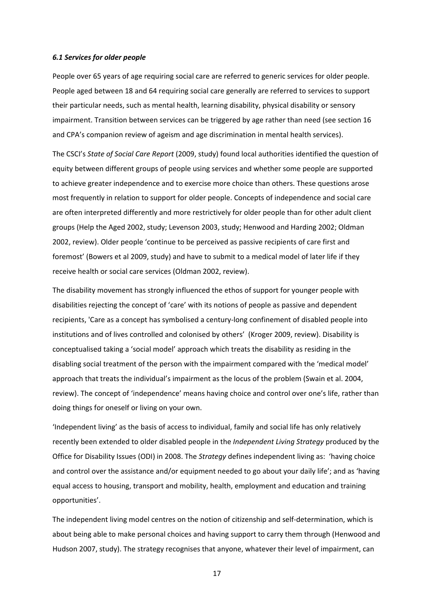## *6.1 Services for older people*

People over 65 years of age requiring social care are referred to generic services for older people. People aged between 18 and 64 requiring social care generally are referred to services to support their particular needs, such as mental health, learning disability, physical disability or sensory impairment. Transition between services can be triggered by age rather than need (see section 16 and CPA's companion review of ageism and age discrimination in mental health services).

The CSCI's *State of Social Care Report* (2009, study) found local authorities identified the question of equity between different groups of people using services and whether some people are supported to achieve greater independence and to exercise more choice than others. These questions arose most frequently in relation to support for older people. Concepts of independence and social care are often interpreted differently and more restrictively for older people than for other adult client groups (Help the Aged 2002, study; Levenson 2003, study; Henwood and Harding 2002; Oldman 2002, review). Older people 'continue to be perceived as passive recipients of care first and foremost' (Bowers et al 2009, study) and have to submit to a medical model of later life if they receive health or social care services (Oldman 2002, review).

The disability movement has strongly influenced the ethos of support for younger people with disabilities rejecting the concept of 'care' with its notions of people as passive and dependent recipients, 'Care as a concept has symbolised a century‐long confinement of disabled people into institutions and of lives controlled and colonised by others' (Kroger 2009, review). Disability is conceptualised taking a 'social model' approach which treats the disability as residing in the disabling social treatment of the person with the impairment compared with the 'medical model' approach that treats the individual's impairment as the locus of the problem (Swain et al. 2004, review). The concept of 'independence' means having choice and control over one's life, rather than doing things for oneself or living on your own.

'Independent living' as the basis of access to individual, family and social life has only relatively recently been extended to older disabled people in the *Independent Living Strategy* produced by the Office for Disability Issues (ODI) in 2008. The *Strategy* defines independent living as: 'having choice and control over the assistance and/or equipment needed to go about your daily life'; and as 'having equal access to housing, transport and mobility, health, employment and education and training opportunities'.

The independent living model centres on the notion of citizenship and self‐determination, which is about being able to make personal choices and having support to carry them through (Henwood and Hudson 2007, study). The strategy recognises that anyone, whatever their level of impairment, can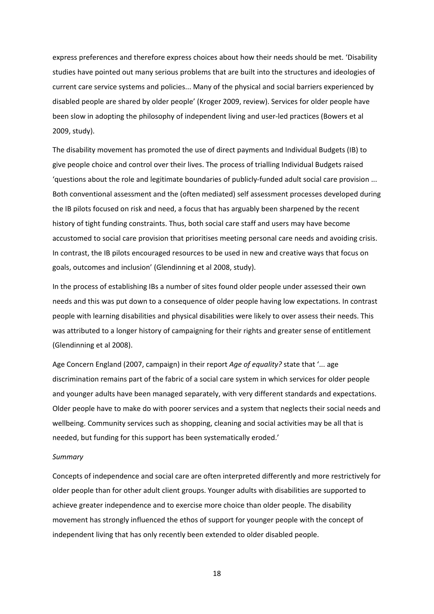express preferences and therefore express choices about how their needs should be met. 'Disability studies have pointed out many serious problems that are built into the structures and ideologies of current care service systems and policies... Many of the physical and social barriers experienced by disabled people are shared by older people' (Kroger 2009, review). Services for older people have been slow in adopting the philosophy of independent living and user-led practices (Bowers et al 2009, study).

The disability movement has promoted the use of direct payments and Individual Budgets (IB) to give people choice and control over their lives. The process of trialling Individual Budgets raised 'questions about the role and legitimate boundaries of publicly‐funded adult social care provision ... Both conventional assessment and the (often mediated) self assessment processes developed during the IB pilots focused on risk and need, a focus that has arguably been sharpened by the recent history of tight funding constraints. Thus, both social care staff and users may have become accustomed to social care provision that prioritises meeting personal care needs and avoiding crisis. In contrast, the IB pilots encouraged resources to be used in new and creative ways that focus on goals, outcomes and inclusion' (Glendinning et al 2008, study).

In the process of establishing IBs a number of sites found older people under assessed their own needs and this was put down to a consequence of older people having low expectations. In contrast people with learning disabilities and physical disabilities were likely to over assess their needs. This was attributed to a longer history of campaigning for their rights and greater sense of entitlement (Glendinning et al 2008).

Age Concern England (2007, campaign) in their report *Age of equality?* state that '... age discrimination remains part of the fabric of a social care system in which services for older people and younger adults have been managed separately, with very different standards and expectations. Older people have to make do with poorer services and a system that neglects their social needs and wellbeing. Community services such as shopping, cleaning and social activities may be all that is needed, but funding for this support has been systematically eroded.'

#### *Summary*

Concepts of independence and social care are often interpreted differently and more restrictively for older people than for other adult client groups. Younger adults with disabilities are supported to achieve greater independence and to exercise more choice than older people. The disability movement has strongly influenced the ethos of support for younger people with the concept of independent living that has only recently been extended to older disabled people.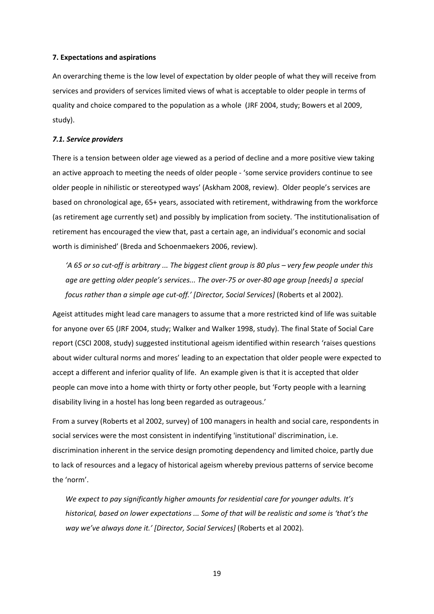## **7. Expectations and aspirations**

An overarching theme is the low level of expectation by older people of what they will receive from services and providers of services limited views of what is acceptable to older people in terms of quality and choice compared to the population as a whole (JRF 2004, study; Bowers et al 2009, study).

## *7.1. Service providers*

There is a tension between older age viewed as a period of decline and a more positive view taking an active approach to meeting the needs of older people ‐ 'some service providers continue to see older people in nihilistic or stereotyped ways' (Askham 2008, review). Older people's services are based on chronological age, 65+ years, associated with retirement, withdrawing from the workforce (as retirement age currently set) and possibly by implication from society. 'The institutionalisation of retirement has encouraged the view that, past a certain age, an individual's economic and social worth is diminished' (Breda and Schoenmaekers 2006, review).

'A 65 or so cut-off is arbitrary ... The biggest client group is 80 plus - very few people under this age are getting older people's services... The over-75 or over-80 age group [needs] a special *focus rather than a simple age cut‐off.' [Director, Social Services]* (Roberts et al 2002).

Ageist attitudes might lead care managers to assume that a more restricted kind of life was suitable for anyone over 65 (JRF 2004, study; Walker and Walker 1998, study). The final State of Social Care report (CSCI 2008, study) suggested institutional ageism identified within research 'raises questions about wider cultural norms and mores' leading to an expectation that older people were expected to accept a different and inferior quality of life. An example given is that it is accepted that older people can move into a home with thirty or forty other people, but 'Forty people with a learning disability living in a hostel has long been regarded as outrageous.'

From a survey (Roberts et al 2002, survey) of 100 managers in health and social care, respondents in social services were the most consistent in indentifying 'institutional' discrimination, i.e. discrimination inherent in the service design promoting dependency and limited choice, partly due to lack of resources and a legacy of historical ageism whereby previous patterns of service become the 'norm'.

*We expect to pay significantly higher amounts for residential care for younger adults. It's historical, based on lower expectations ... Some of that will be realistic and some is 'that's the way we've always done it.' [Director, Social Services]* (Roberts et al 2002).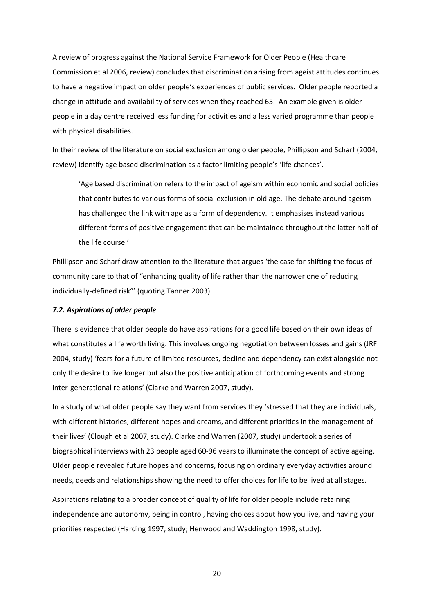A review of progress against the National Service Framework for Older People (Healthcare Commission et al 2006, review) concludes that discrimination arising from ageist attitudes continues to have a negative impact on older people's experiences of public services. Older people reported a change in attitude and availability of services when they reached 65. An example given is older people in a day centre received less funding for activities and a less varied programme than people with physical disabilities.

In their review of the literature on social exclusion among older people, Phillipson and Scharf (2004, review) identify age based discrimination as a factor limiting people's 'life chances'.

'Age based discrimination refers to the impact of ageism within economic and social policies that contributes to various forms of social exclusion in old age. The debate around ageism has challenged the link with age as a form of dependency. It emphasises instead various different forms of positive engagement that can be maintained throughout the latter half of the life course.'

Phillipson and Scharf draw attention to the literature that argues 'the case for shifting the focus of community care to that of "enhancing quality of life rather than the narrower one of reducing individually‐defined risk"' (quoting Tanner 2003).

## *7.2. Aspirations of older people*

There is evidence that older people do have aspirations for a good life based on their own ideas of what constitutes a life worth living. This involves ongoing negotiation between losses and gains (JRF 2004, study) 'fears for a future of limited resources, decline and dependency can exist alongside not only the desire to live longer but also the positive anticipation of forthcoming events and strong inter‐generational relations' (Clarke and Warren 2007, study).

In a study of what older people say they want from services they 'stressed that they are individuals, with different histories, different hopes and dreams, and different priorities in the management of their lives' (Clough et al 2007, study). Clarke and Warren (2007, study) undertook a series of biographical interviews with 23 people aged 60‐96 years to illuminate the concept of active ageing. Older people revealed future hopes and concerns, focusing on ordinary everyday activities around needs, deeds and relationships showing the need to offer choices for life to be lived at all stages.

Aspirations relating to a broader concept of quality of life for older people include retaining independence and autonomy, being in control, having choices about how you live, and having your priorities respected (Harding 1997, study; Henwood and Waddington 1998, study).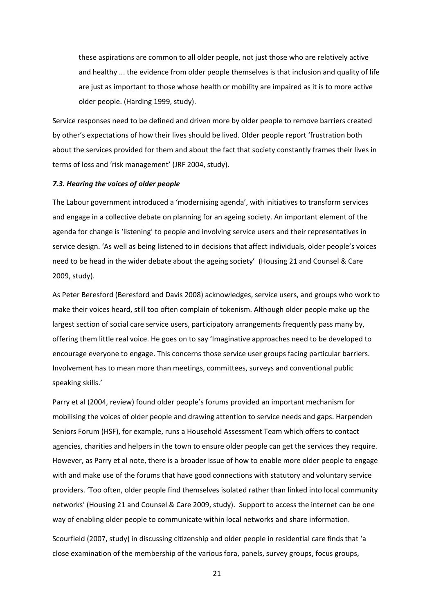these aspirations are common to all older people, not just those who are relatively active and healthy ... the evidence from older people themselves is that inclusion and quality of life are just as important to those whose health or mobility are impaired as it is to more active older people. (Harding 1999, study).

Service responses need to be defined and driven more by older people to remove barriers created by other's expectations of how their lives should be lived. Older people report 'frustration both about the services provided for them and about the fact that society constantly frames their lives in terms of loss and 'risk management' (JRF 2004, study).

#### *7.3. Hearing the voices of older people*

The Labour government introduced a 'modernising agenda', with initiatives to transform services and engage in a collective debate on planning for an ageing society. An important element of the agenda for change is 'listening' to people and involving service users and their representatives in service design. 'As well as being listened to in decisions that affect individuals, older people's voices need to be head in the wider debate about the ageing society' (Housing 21 and Counsel & Care 2009, study).

As Peter Beresford (Beresford and Davis 2008) acknowledges, service users, and groups who work to make their voices heard, still too often complain of tokenism. Although older people make up the largest section of social care service users, participatory arrangements frequently pass many by, offering them little real voice. He goes on to say 'Imaginative approaches need to be developed to encourage everyone to engage. This concerns those service user groups facing particular barriers. Involvement has to mean more than meetings, committees, surveys and conventional public speaking skills.'

Parry et al (2004, review) found older people's forums provided an important mechanism for mobilising the voices of older people and drawing attention to service needs and gaps. Harpenden Seniors Forum (HSF), for example, runs a Household Assessment Team which offers to contact agencies, charities and helpers in the town to ensure older people can get the services they require. However, as Parry et al note, there is a broader issue of how to enable more older people to engage with and make use of the forums that have good connections with statutory and voluntary service providers. 'Too often, older people find themselves isolated rather than linked into local community networks' (Housing 21 and Counsel & Care 2009, study). Support to access the internet can be one way of enabling older people to communicate within local networks and share information.

Scourfield (2007, study) in discussing citizenship and older people in residential care finds that 'a close examination of the membership of the various fora, panels, survey groups, focus groups,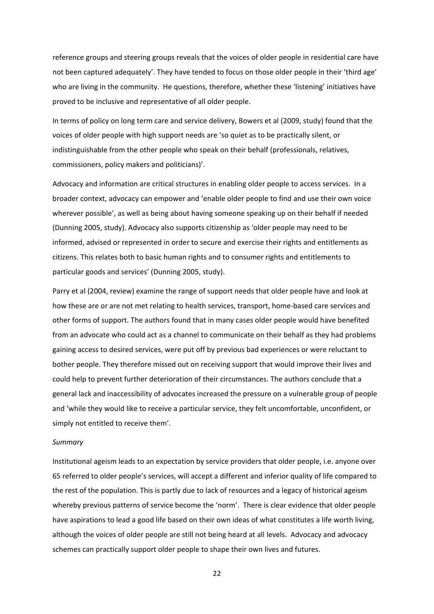reference groups and steering groups reveals that the voices of older people in residential care have not been captured adequately'. They have tended to focus on those older people in their 'third age' who are living in the community. He questions, therefore, whether these 'listening' initiatives have proved to be inclusive and representative of all older people.

In terms of policy on long term care and service delivery, Bowers et al (2009, study) found that the voices of older people with high support needs are 'so quiet as to be practically silent, or indistinguishable from the other people who speak on their behalf (professionals, relatives, commissioners, policy makers and politicians)'.

Advocacy and information are critical structures in enabling older people to access services. In a broader context, advocacy can empower and 'enable older people to find and use their own voice wherever possible', as well as being about having someone speaking up on their behalf if needed (Dunning 2005, study). Advocacy also supports citizenship as 'older people may need to be informed, advised or represented in order to secure and exercise their rights and entitlements as citizens. This relates both to basic human rights and to consumer rights and entitlements to particular goods and services' (Dunning 2005, study).

Parry et al (2004, review) examine the range of support needs that older people have and look at how these are or are not met relating to health services, transport, home‐based care services and other forms of support. The authors found that in many cases older people would have benefited from an advocate who could act as a channel to communicate on their behalf as they had problems gaining access to desired services, were put off by previous bad experiences or were reluctant to bother people. They therefore missed out on receiving support that would improve their lives and could help to prevent further deterioration of their circumstances. The authors conclude that a general lack and inaccessibility of advocates increased the pressure on a vulnerable group of people and 'while they would like to receive a particular service, they felt uncomfortable, unconfident, or simply not entitled to receive them'.

## *Summary*

Institutional ageism leads to an expectation by service providers that older people, i.e. anyone over 65 referred to older people's services, will accept a different and inferior quality of life compared to the rest of the population. This is partly due to lack of resources and a legacy of historical ageism whereby previous patterns of service become the 'norm'. There is clear evidence that older people have aspirations to lead a good life based on their own ideas of what constitutes a life worth living, although the voices of older people are still not being heard at all levels. Advocacy and advocacy schemes can practically support older people to shape their own lives and futures.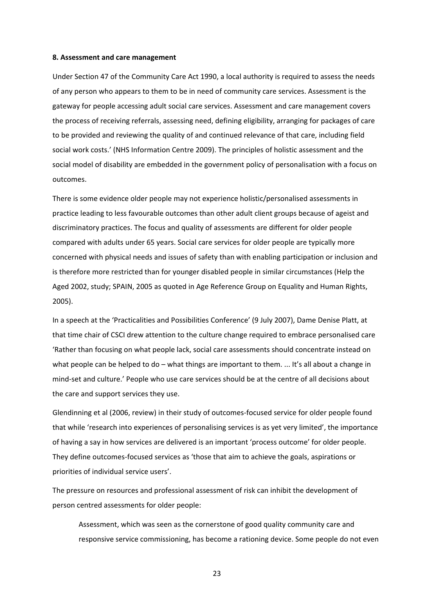#### **8. Assessment and care management**

Under Section 47 of the Community Care Act 1990, a local authority is required to assess the needs of any person who appears to them to be in need of community care services. Assessment is the gateway for people accessing adult social care services. Assessment and care management covers the process of receiving referrals, assessing need, defining eligibility, arranging for packages of care to be provided and reviewing the quality of and continued relevance of that care, including field social work costs.' (NHS Information Centre 2009). The principles of holistic assessment and the social model of disability are embedded in the government policy of personalisation with a focus on outcomes.

There is some evidence older people may not experience holistic/personalised assessments in practice leading to less favourable outcomes than other adult client groups because of ageist and discriminatory practices. The focus and quality of assessments are different for older people compared with adults under 65 years. Social care services for older people are typically more concerned with physical needs and issues of safety than with enabling participation or inclusion and is therefore more restricted than for younger disabled people in similar circumstances (Help the Aged 2002, study; SPAIN, 2005 as quoted in Age Reference Group on Equality and Human Rights, 2005).

In a speech at the 'Practicalities and Possibilities Conference' (9 July 2007), Dame Denise Platt, at that time chair of CSCI drew attention to the culture change required to embrace personalised care 'Rather than focusing on what people lack, social care assessments should concentrate instead on what people can be helped to do – what things are important to them. ... It's all about a change in mind‐set and culture.' People who use care services should be at the centre of all decisions about the care and support services they use.

Glendinning et al (2006, review) in their study of outcomes‐focused service for older people found that while 'research into experiences of personalising services is as yet very limited', the importance of having a say in how services are delivered is an important 'process outcome' for older people. They define outcomes‐focused services as 'those that aim to achieve the goals, aspirations or priorities of individual service users'.

The pressure on resources and professional assessment of risk can inhibit the development of person centred assessments for older people:

Assessment, which was seen as the cornerstone of good quality community care and responsive service commissioning, has become a rationing device. Some people do not even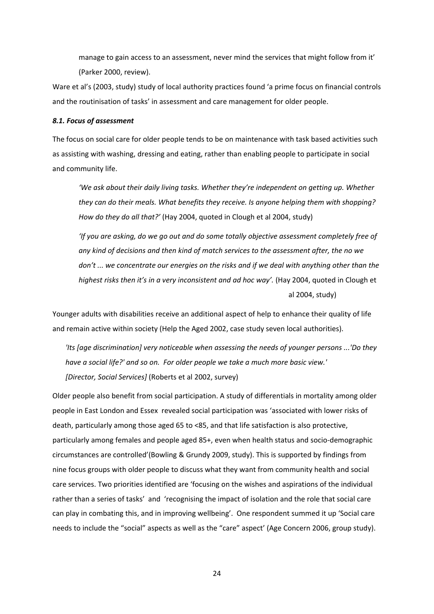manage to gain access to an assessment, never mind the services that might follow from it' (Parker 2000, review).

Ware et al's (2003, study) study of local authority practices found 'a prime focus on financial controls and the routinisation of tasks' in assessment and care management for older people.

#### *8.1. Focus of assessment*

The focus on social care for older people tends to be on maintenance with task based activities such as assisting with washing, dressing and eating, rather than enabling people to participate in social and community life.

*'We ask about their daily living tasks. Whether they're independent on getting up. Whether they can do their meals. What benefits they receive. Is anyone helping them with shopping? How do they do all that?'* (Hay 2004, quoted in Clough et al 2004, study)

*'If you are asking, do we go out and do some totally objective assessment completely free of any kind of decisions and then kind of match services to the assessment after, the no we don't ... we concentrate our energies on the risks and if we deal with anything other than the highest risks then it's in a very inconsistent and ad hoc way'.* (Hay 2004, quoted in Clough et al 2004, study)

Younger adults with disabilities receive an additional aspect of help to enhance their quality of life and remain active within society (Help the Aged 2002, case study seven local authorities).

*'Its [age discrimination] very noticeable when assessing the needs of younger persons ...'Do they have a social life?' and so on. For older people we take a much more basic view.' [Director, Social Services]* (Roberts et al 2002, survey)

Older people also benefit from social participation. A study of differentials in mortality among older people in East London and Essex revealed social participation was 'associated with lower risks of death, particularly among those aged 65 to <85, and that life satisfaction is also protective, particularly among females and people aged 85+, even when health status and socio‐demographic circumstances are controlled'(Bowling & Grundy 2009, study). This is supported by findings from nine focus groups with older people to discuss what they want from community health and social care services. Two priorities identified are 'focusing on the wishes and aspirations of the individual rather than a series of tasks' and 'recognising the impact of isolation and the role that social care can play in combating this, and in improving wellbeing'. One respondent summed it up 'Social care needs to include the "social" aspects as well as the "care" aspect' (Age Concern 2006, group study).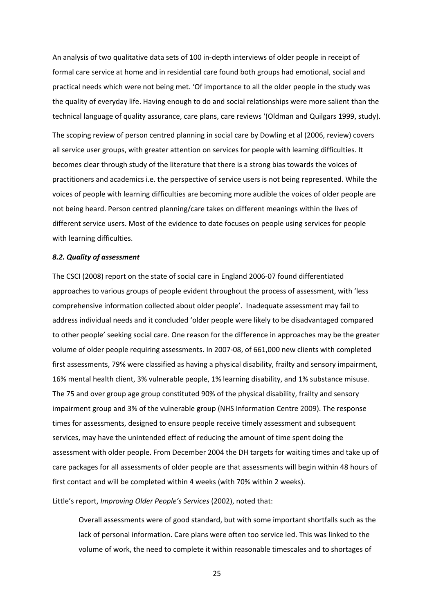An analysis of two qualitative data sets of 100 in‐depth interviews of older people in receipt of formal care service at home and in residential care found both groups had emotional, social and practical needs which were not being met. 'Of importance to all the older people in the study was the quality of everyday life. Having enough to do and social relationships were more salient than the technical language of quality assurance, care plans, care reviews '(Oldman and Quilgars 1999, study).

The scoping review of person centred planning in social care by Dowling et al (2006, review) covers all service user groups, with greater attention on services for people with learning difficulties. It becomes clear through study of the literature that there is a strong bias towards the voices of practitioners and academics i.e. the perspective of service users is not being represented. While the voices of people with learning difficulties are becoming more audible the voices of older people are not being heard. Person centred planning/care takes on different meanings within the lives of different service users. Most of the evidence to date focuses on people using services for people with learning difficulties.

#### *8.2. Quality of assessment*

The CSCI (2008) report on the state of social care in England 2006‐07 found differentiated approaches to various groups of people evident throughout the process of assessment, with 'less comprehensive information collected about older people'. Inadequate assessment may fail to address individual needs and it concluded 'older people were likely to be disadvantaged compared to other people' seeking social care. One reason for the difference in approaches may be the greater volume of older people requiring assessments. In 2007‐08, of 661,000 new clients with completed first assessments, 79% were classified as having a physical disability, frailty and sensory impairment, 16% mental health client, 3% vulnerable people, 1% learning disability, and 1% substance misuse. The 75 and over group age group constituted 90% of the physical disability, frailty and sensory impairment group and 3% of the vulnerable group (NHS Information Centre 2009). The response times for assessments, designed to ensure people receive timely assessment and subsequent services, may have the unintended effect of reducing the amount of time spent doing the assessment with older people. From December 2004 the DH targets for waiting times and take up of care packages for all assessments of older people are that assessments will begin within 48 hours of first contact and will be completed within 4 weeks (with 70% within 2 weeks).

Little's report, *Improving Older People's Services* (2002), noted that:

Overall assessments were of good standard, but with some important shortfalls such as the lack of personal information. Care plans were often too service led. This was linked to the volume of work, the need to complete it within reasonable timescales and to shortages of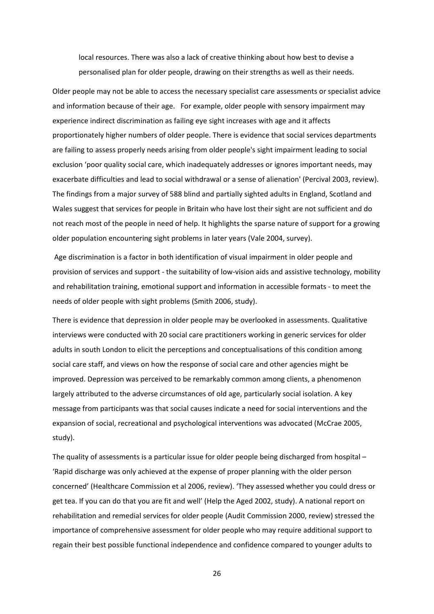local resources. There was also a lack of creative thinking about how best to devise a personalised plan for older people, drawing on their strengths as well as their needs.

Older people may not be able to access the necessary specialist care assessments or specialist advice and information because of their age. For example, older people with sensory impairment may experience indirect discrimination as failing eye sight increases with age and it affects proportionately higher numbers of older people. There is evidence that social services departments are failing to assess properly needs arising from older people's sight impairment leading to social exclusion 'poor quality social care, which inadequately addresses or ignores important needs, may exacerbate difficulties and lead to social withdrawal or a sense of alienation' (Percival 2003, review). The findings from a major survey of 588 blind and partially sighted adults in England, Scotland and Wales suggest that services for people in Britain who have lost their sight are not sufficient and do not reach most of the people in need of help. It highlights the sparse nature of support for a growing older population encountering sight problems in later years (Vale 2004, survey).

Age discrimination is a factor in both identification of visual impairment in older people and provision of services and support ‐ the suitability of low‐vision aids and assistive technology, mobility and rehabilitation training, emotional support and information in accessible formats ‐ to meet the needs of older people with sight problems (Smith 2006, study).

There is evidence that depression in older people may be overlooked in assessments. Qualitative interviews were conducted with 20 social care practitioners working in generic services for older adults in south London to elicit the perceptions and conceptualisations of this condition among social care staff, and views on how the response of social care and other agencies might be improved. Depression was perceived to be remarkably common among clients, a phenomenon largely attributed to the adverse circumstances of old age, particularly social isolation. A key message from participants was that social causes indicate a need for social interventions and the expansion of social, recreational and psychological interventions was advocated (McCrae 2005, study).

The quality of assessments is a particular issue for older people being discharged from hospital – 'Rapid discharge was only achieved at the expense of proper planning with the older person concerned' (Healthcare Commission et al 2006, review). 'They assessed whether you could dress or get tea. If you can do that you are fit and well' (Help the Aged 2002, study). A national report on rehabilitation and remedial services for older people (Audit Commission 2000, review) stressed the importance of comprehensive assessment for older people who may require additional support to regain their best possible functional independence and confidence compared to younger adults to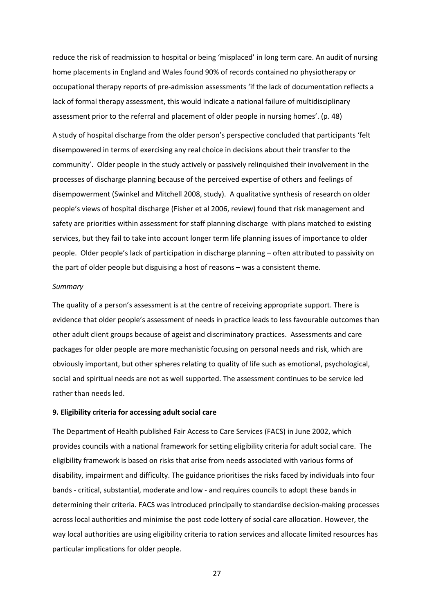reduce the risk of readmission to hospital or being 'misplaced' in long term care. An audit of nursing home placements in England and Wales found 90% of records contained no physiotherapy or occupational therapy reports of pre‐admission assessments 'if the lack of documentation reflects a lack of formal therapy assessment, this would indicate a national failure of multidisciplinary assessment prior to the referral and placement of older people in nursing homes'. (p. 48)

A study of hospital discharge from the older person's perspective concluded that participants 'felt disempowered in terms of exercising any real choice in decisions about their transfer to the community'. Older people in the study actively or passively relinquished their involvement in the processes of discharge planning because of the perceived expertise of others and feelings of disempowerment (Swinkel and Mitchell 2008, study). A qualitative synthesis of research on older people's views of hospital discharge (Fisher et al 2006, review) found that risk management and safety are priorities within assessment for staff planning discharge with plans matched to existing services, but they fail to take into account longer term life planning issues of importance to older people. Older people's lack of participation in discharge planning – often attributed to passivity on the part of older people but disguising a host of reasons – was a consistent theme.

## *Summary*

The quality of a person's assessment is at the centre of receiving appropriate support. There is evidence that older people's assessment of needs in practice leads to less favourable outcomes than other adult client groups because of ageist and discriminatory practices. Assessments and care packages for older people are more mechanistic focusing on personal needs and risk, which are obviously important, but other spheres relating to quality of life such as emotional, psychological, social and spiritual needs are not as well supported. The assessment continues to be service led rather than needs led.

## **9. Eligibility criteria for accessing adult social care**

The Department of Health published Fair Access to Care Services (FACS) in June 2002, which provides councils with a national framework for setting eligibility criteria for adult social care. The eligibility framework is based on risks that arise from needs associated with various forms of disability, impairment and difficulty. The guidance prioritises the risks faced by individuals into four bands ‐ critical, substantial, moderate and low ‐ and requires councils to adopt these bands in determining their criteria. FACS was introduced principally to standardise decision-making processes across local authorities and minimise the post code lottery of social care allocation. However, the way local authorities are using eligibility criteria to ration services and allocate limited resources has particular implications for older people.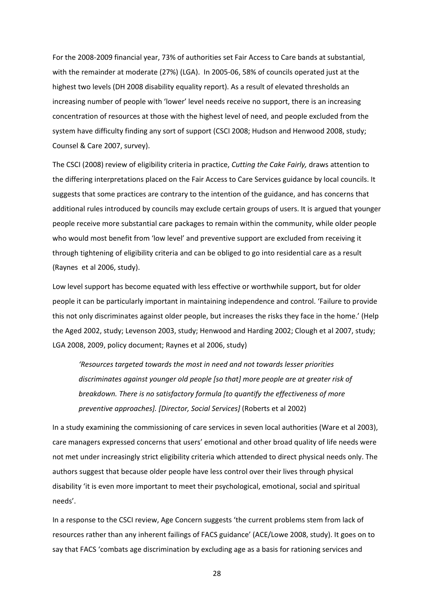For the 2008‐2009 financial year, 73% of authorities set Fair Access to Care bands at substantial, with the remainder at moderate (27%) (LGA). In 2005-06, 58% of councils operated just at the highest two levels (DH 2008 disability equality report). As a result of elevated thresholds an increasing number of people with 'lower' level needs receive no support, there is an increasing concentration of resources at those with the highest level of need, and people excluded from the system have difficulty finding any sort of support (CSCI 2008; Hudson and Henwood 2008, study; Counsel & Care 2007, survey).

The CSCI (2008) review of eligibility criteria in practice, *Cutting the Cake Fairly,* draws attention to the differing interpretations placed on the Fair Access to Care Services guidance by local councils. It suggests that some practices are contrary to the intention of the guidance, and has concerns that additional rules introduced by councils may exclude certain groups of users. It is argued that younger people receive more substantial care packages to remain within the community, while older people who would most benefit from 'low level' and preventive support are excluded from receiving it through tightening of eligibility criteria and can be obliged to go into residential care as a result (Raynes et al 2006, study).

Low level support has become equated with less effective or worthwhile support, but for older people it can be particularly important in maintaining independence and control. 'Failure to provide this not only discriminates against older people, but increases the risks they face in the home.' (Help the Aged 2002, study; Levenson 2003, study; Henwood and Harding 2002; Clough et al 2007, study; LGA 2008, 2009, policy document; Raynes et al 2006, study)

*'Resources targeted towards the most in need and not towards lesser priorities discriminates against younger old people [so that] more people are at greater risk of breakdown. There is no satisfactory formula [to quantify the effectiveness of more preventive approaches]. [Director, Social Services]* (Roberts et al 2002)

In a study examining the commissioning of care services in seven local authorities (Ware et al 2003), care managers expressed concerns that users' emotional and other broad quality of life needs were not met under increasingly strict eligibility criteria which attended to direct physical needs only. The authors suggest that because older people have less control over their lives through physical disability 'it is even more important to meet their psychological, emotional, social and spiritual needs'.

In a response to the CSCI review, Age Concern suggests 'the current problems stem from lack of resources rather than any inherent failings of FACS guidance' (ACE/Lowe 2008, study). It goes on to say that FACS 'combats age discrimination by excluding age as a basis for rationing services and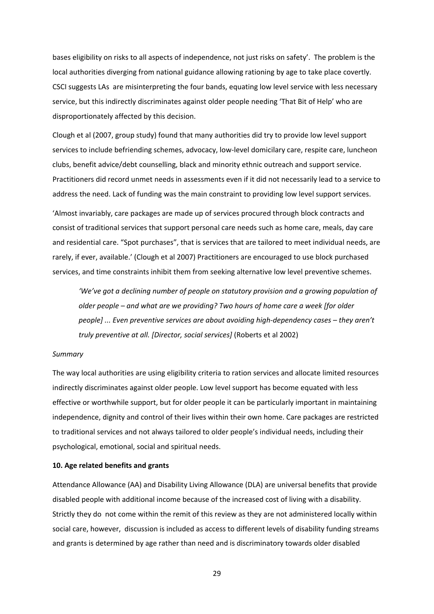bases eligibility on risks to all aspects of independence, not just risks on safety'. The problem is the local authorities diverging from national guidance allowing rationing by age to take place covertly. CSCI suggests LAs are misinterpreting the four bands, equating low level service with less necessary service, but this indirectly discriminates against older people needing 'That Bit of Help' who are disproportionately affected by this decision.

Clough et al (2007, group study) found that many authorities did try to provide low level support services to include befriending schemes, advocacy, low-level domicilary care, respite care, luncheon clubs, benefit advice/debt counselling, black and minority ethnic outreach and support service. Practitioners did record unmet needs in assessments even if it did not necessarily lead to a service to address the need. Lack of funding was the main constraint to providing low level support services.

'Almost invariably, care packages are made up of services procured through block contracts and consist of traditional services that support personal care needs such as home care, meals, day care and residential care. "Spot purchases", that is services that are tailored to meet individual needs, are rarely, if ever, available.' (Clough et al 2007) Practitioners are encouraged to use block purchased services, and time constraints inhibit them from seeking alternative low level preventive schemes.

*'We've got a declining number of people on statutory provision and a growing population of older people – and what are we providing? Two hours of home care a week [for older people] ... Even preventive services are about avoiding high‐dependency cases – they aren't truly preventive at all. [Director, social services]* (Roberts et al 2002)

## *Summary*

The way local authorities are using eligibility criteria to ration services and allocate limited resources indirectly discriminates against older people. Low level support has become equated with less effective or worthwhile support, but for older people it can be particularly important in maintaining independence, dignity and control of their lives within their own home. Care packages are restricted to traditional services and not always tailored to older people's individual needs, including their psychological, emotional, social and spiritual needs.

## **10. Age related benefits and grants**

Attendance Allowance (AA) and Disability Living Allowance (DLA) are universal benefits that provide disabled people with additional income because of the increased cost of living with a disability. Strictly they do not come within the remit of this review as they are not administered locally within social care, however, discussion is included as access to different levels of disability funding streams and grants is determined by age rather than need and is discriminatory towards older disabled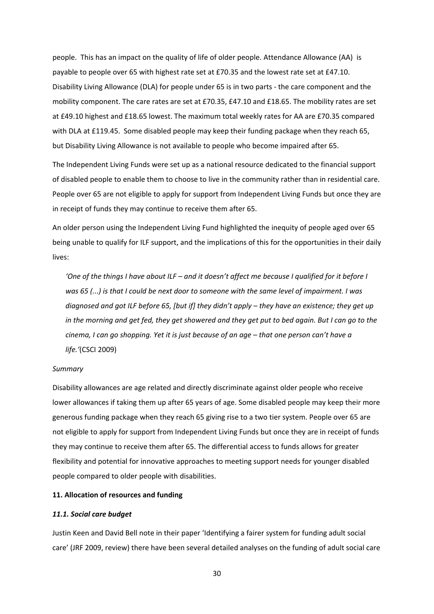people. This has an impact on the quality of life of older people. Attendance Allowance (AA) is payable to people over 65 with highest rate set at £70.35 and the lowest rate set at £47.10. Disability Living Allowance (DLA) for people under 65 is in two parts ‐ the care component and the mobility component. The care rates are set at £70.35, £47.10 and £18.65. The mobility rates are set at £49.10 highest and £18.65 lowest. The maximum total weekly rates for AA are £70.35 compared with DLA at £119.45. Some disabled people may keep their funding package when they reach 65, but Disability Living Allowance is not available to people who become impaired after 65.

The Independent Living Funds were set up as a national resource dedicated to the financial support of disabled people to enable them to choose to live in the community rather than in residential care. People over 65 are not eligible to apply for support from Independent Living Funds but once they are in receipt of funds they may continue to receive them after 65.

An older person using the Independent Living Fund highlighted the inequity of people aged over 65 being unable to qualify for ILF support, and the implications of this for the opportunities in their daily lives:

'One of the things I have about ILF - and it doesn't affect me because I qualified for it before I was 65 (...) is that I could be next door to someone with the same level of impairment. I was diagnosed and got ILF before 65, [but if] they didn't apply - they have an existence; they get up in the morning and get fed, they get showered and they get put to bed again. But I can go to the cinema, I can go shopping. Yet it is just because of an age - that one person can't have a *life.'*(CSCI 2009)

## *Summary*

Disability allowances are age related and directly discriminate against older people who receive lower allowances if taking them up after 65 years of age. Some disabled people may keep their more generous funding package when they reach 65 giving rise to a two tier system. People over 65 are not eligible to apply for support from Independent Living Funds but once they are in receipt of funds they may continue to receive them after 65. The differential access to funds allows for greater flexibility and potential for innovative approaches to meeting support needs for younger disabled people compared to older people with disabilities.

#### **11. Allocation of resources and funding**

## *11.1. Social care budget*

Justin Keen and David Bell note in their paper 'Identifying a fairer system for funding adult social care' (JRF 2009, review) there have been several detailed analyses on the funding of adult social care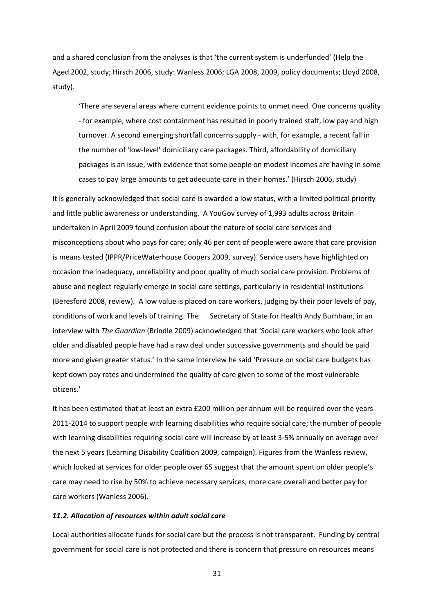and a shared conclusion from the analyses is that 'the current system is underfunded' (Help the Aged 2002, study; Hirsch 2006, study: Wanless 2006; LGA 2008, 2009, policy documents; Lloyd 2008, study).

'There are several areas where current evidence points to unmet need. One concerns quality ‐ for example, where cost containment has resulted in poorly trained staff, low pay and high turnover. A second emerging shortfall concerns supply ‐ with, for example, a recent fall in the number of 'low‐level' domiciliary care packages. Third, affordability of domiciliary packages is an issue, with evidence that some people on modest incomes are having in some cases to pay large amounts to get adequate care in their homes.' (Hirsch 2006, study)

It is generally acknowledged that social care is awarded a low status, with a limited political priority and little public awareness or understanding. A YouGov survey of 1,993 adults across Britain undertaken in April 2009 found confusion about the nature of social care services and misconceptions about who pays for care; only 46 per cent of people were aware that care provision is means tested (IPPR/PriceWaterhouse Coopers 2009, survey). Service users have highlighted on occasion the inadequacy, unreliability and poor quality of much social care provision. Problems of abuse and neglect regularly emerge in social care settings, particularly in residential institutions (Beresford 2008, review). A low value is placed on care workers, judging by their poor levels of pay, conditions of work and levels of training. The Secretary of State for Health Andy Burnham, in an interview with *The Guardian* (Brindle 2009) acknowledged that 'Social care workers who look after older and disabled people have had a raw deal under successive governments and should be paid more and given greater status.' In the same interview he said 'Pressure on social care budgets has kept down pay rates and undermined the quality of care given to some of the most vulnerable citizens.'

It has been estimated that at least an extra £200 million per annum will be required over the years 2011‐2014 to support people with learning disabilities who require social care; the number of people with learning disabilities requiring social care will increase by at least 3‐5% annually on average over the next 5 years (Learning Disability Coalition 2009, campaign). Figures from the Wanless review, which looked at services for older people over 65 suggest that the amount spent on older people's care may need to rise by 50% to achieve necessary services, more care overall and better pay for care workers (Wanless 2006).

## *11.2. Allocation of resources within adult social care*

Local authorities allocate funds for social care but the process is not transparent. Funding by central government for social care is not protected and there is concern that pressure on resources means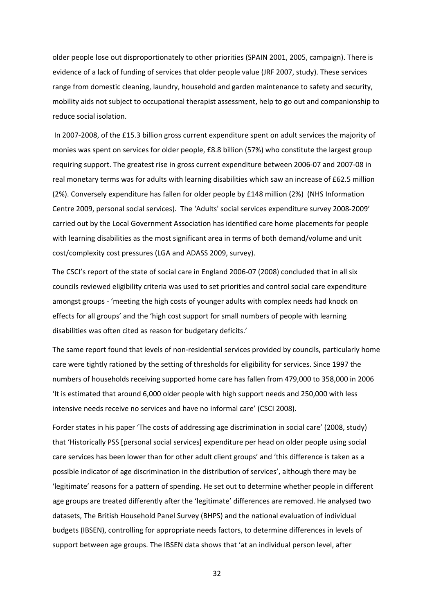older people lose out disproportionately to other priorities (SPAIN 2001, 2005, campaign). There is evidence of a lack of funding of services that older people value (JRF 2007, study). These services range from domestic cleaning, laundry, household and garden maintenance to safety and security, mobility aids not subject to occupational therapist assessment, help to go out and companionship to reduce social isolation.

In 2007-2008, of the £15.3 billion gross current expenditure spent on adult services the majority of monies was spent on services for older people, £8.8 billion (57%) who constitute the largest group requiring support. The greatest rise in gross current expenditure between 2006‐07 and 2007‐08 in real monetary terms was for adults with learning disabilities which saw an increase of £62.5 million (2%). Conversely expenditure has fallen for older people by £148 million (2%) (NHS Information Centre 2009, personal social services). The 'Adults' social services expenditure survey 2008‐2009' carried out by the Local Government Association has identified care home placements for people with learning disabilities as the most significant area in terms of both demand/volume and unit cost/complexity cost pressures (LGA and ADASS 2009, survey).

The CSCI's report of the state of social care in England 2006‐07 (2008) concluded that in all six councils reviewed eligibility criteria was used to set priorities and control social care expenditure amongst groups ‐ 'meeting the high costs of younger adults with complex needs had knock on effects for all groups' and the 'high cost support for small numbers of people with learning disabilities was often cited as reason for budgetary deficits.'

The same report found that levels of non-residential services provided by councils, particularly home care were tightly rationed by the setting of thresholds for eligibility for services. Since 1997 the numbers of households receiving supported home care has fallen from 479,000 to 358,000 in 2006 'It is estimated that around 6,000 older people with high support needs and 250,000 with less intensive needs receive no services and have no informal care' (CSCI 2008).

Forder states in his paper 'The costs of addressing age discrimination in social care' (2008, study) that 'Historically PSS [personal social services] expenditure per head on older people using social care services has been lower than for other adult client groups' and 'this difference is taken as a possible indicator of age discrimination in the distribution of services', although there may be 'legitimate' reasons for a pattern of spending. He set out to determine whether people in different age groups are treated differently after the 'legitimate' differences are removed. He analysed two datasets, The British Household Panel Survey (BHPS) and the national evaluation of individual budgets (IBSEN), controlling for appropriate needs factors, to determine differences in levels of support between age groups. The IBSEN data shows that 'at an individual person level, after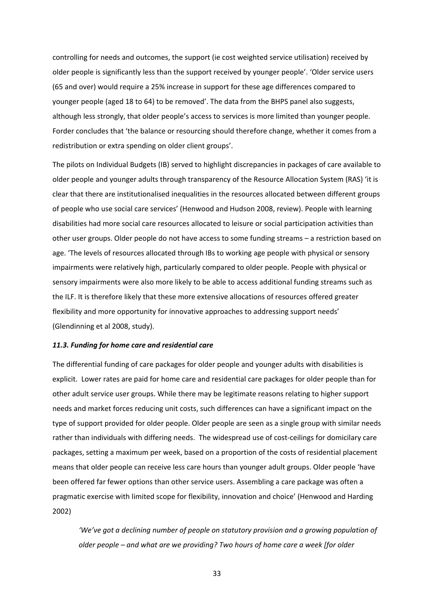controlling for needs and outcomes, the support (ie cost weighted service utilisation) received by older people is significantly less than the support received by younger people'. 'Older service users (65 and over) would require a 25% increase in support for these age differences compared to younger people (aged 18 to 64) to be removed'. The data from the BHPS panel also suggests, although less strongly, that older people's access to services is more limited than younger people. Forder concludes that 'the balance or resourcing should therefore change, whether it comes from a redistribution or extra spending on older client groups'.

The pilots on Individual Budgets (IB) served to highlight discrepancies in packages of care available to older people and younger adults through transparency of the Resource Allocation System (RAS) 'it is clear that there are institutionalised inequalities in the resources allocated between different groups of people who use social care services' (Henwood and Hudson 2008, review). People with learning disabilities had more social care resources allocated to leisure or social participation activities than other user groups. Older people do not have access to some funding streams – a restriction based on age. 'The levels of resources allocated through IBs to working age people with physical or sensory impairments were relatively high, particularly compared to older people. People with physical or sensory impairments were also more likely to be able to access additional funding streams such as the ILF. It is therefore likely that these more extensive allocations of resources offered greater flexibility and more opportunity for innovative approaches to addressing support needs' (Glendinning et al 2008, study).

#### *11.3. Funding for home care and residential care*

The differential funding of care packages for older people and younger adults with disabilities is explicit. Lower rates are paid for home care and residential care packages for older people than for other adult service user groups. While there may be legitimate reasons relating to higher support needs and market forces reducing unit costs, such differences can have a significant impact on the type of support provided for older people. Older people are seen as a single group with similar needs rather than individuals with differing needs. The widespread use of cost-ceilings for domicilary care packages, setting a maximum per week, based on a proportion of the costs of residential placement means that older people can receive less care hours than younger adult groups. Older people 'have been offered far fewer options than other service users. Assembling a care package was often a pragmatic exercise with limited scope for flexibility, innovation and choice' (Henwood and Harding 2002)

*'We've got a declining number of people on statutory provision and a growing population of older people – and what are we providing? Two hours of home care a week [for older*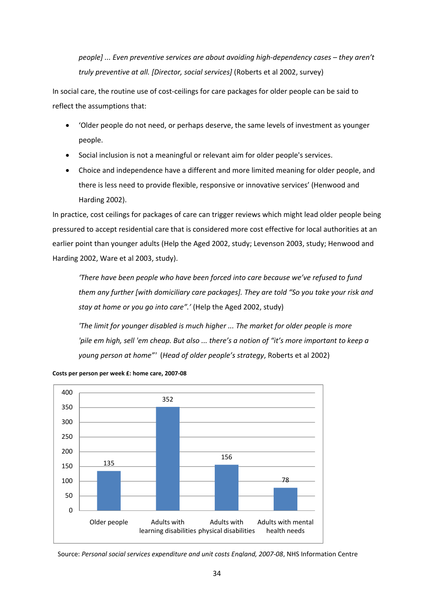*people] ... Even preventive services are about avoiding high‐dependency cases – they aren't truly preventive at all. [Director, social services]* (Roberts et al 2002, survey)

In social care, the routine use of cost-ceilings for care packages for older people can be said to reflect the assumptions that:

- 'Older people do not need, or perhaps deserve, the same levels of investment as younger people.
- Social inclusion is not a meaningful or relevant aim for older people's services.
- Choice and independence have a different and more limited meaning for older people, and there is less need to provide flexible, responsive or innovative services' (Henwood and Harding 2002).

In practice, cost ceilings for packages of care can trigger reviews which might lead older people being pressured to accept residential care that is considered more cost effective for local authorities at an earlier point than younger adults (Help the Aged 2002, study; Levenson 2003, study; Henwood and Harding 2002, Ware et al 2003, study).

*'There have been people who have been forced into care because we've refused to fund them any further [with domiciliary care packages]. They are told "So you take your risk and stay at home or you go into care".'* (Help the Aged 2002, study)

*'The limit for younger disabled is much higher ... The market for older people is more*  'pile em high, sell 'em cheap. But also ... there's a notion of "it's more important to keep a *young person at home"'* (*Head of older people's strategy*, Roberts et al 2002)



**Costs per person per week £: home care, 2007‐08**

Source: *Personal social services expenditure and unit costs England, 2007‐08*, NHS Information Centre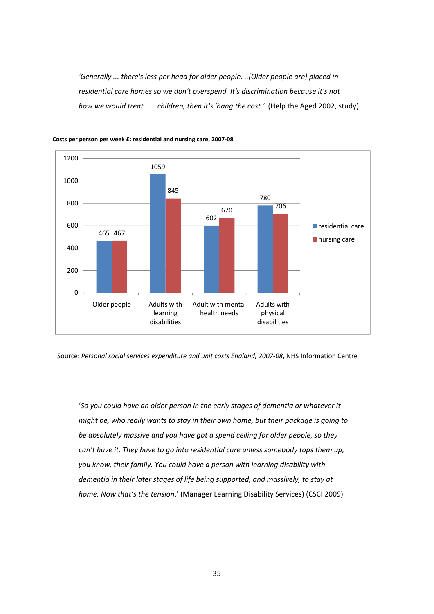*'Generally ... there's less per head for older people. ..[Older people are] placed in residential care homes so we don't overspend. It's discrimination because it's not how we would treat ... children, then it's 'hang the cost.'* (Help the Aged 2002, study)





Source: *Personal social services expenditure and unit costs England, 2007‐08*, NHS Information Centre

'*So you could have an older person in the early stages of dementia or whatever it might be, who really wants to stay in their own home, but their package is going to be absolutely massive and you have got a spend ceiling for older people, so they can't have it. They have to go into residential care unless somebody tops them up, you know, their family. You could have a person with learning disability with dementia in their later stages of life being supported, and massively, to stay at home. Now that's the tension*.' (Manager Learning Disability Services) (CSCI 2009)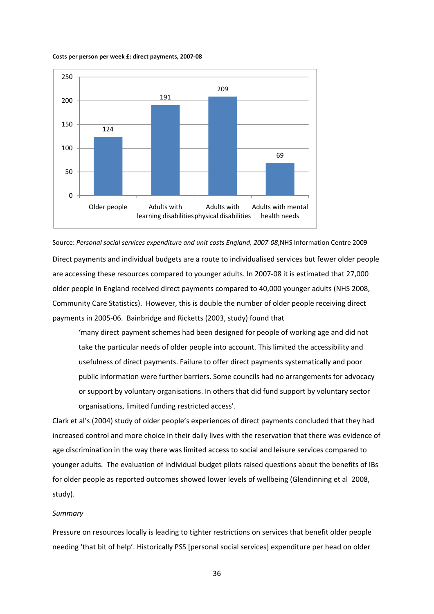#### **Costs per person per week £: direct payments, 2007‐08**



## Source: *Personal social services expenditure and unit costs England, 2007‐08*,NHS Information Centre 2009

Direct payments and individual budgets are a route to individualised services but fewer older people are accessing these resources compared to younger adults. In 2007‐08 it is estimated that 27,000 older people in England received direct payments compared to 40,000 younger adults (NHS 2008, Community Care Statistics). However, this is double the number of older people receiving direct payments in 2005‐06. Bainbridge and Ricketts (2003, study) found that

'many direct payment schemes had been designed for people of working age and did not take the particular needs of older people into account. This limited the accessibility and usefulness of direct payments. Failure to offer direct payments systematically and poor public information were further barriers. Some councils had no arrangements for advocacy or support by voluntary organisations. In others that did fund support by voluntary sector organisations, limited funding restricted access'.

Clark et al's (2004) study of older people's experiences of direct payments concluded that they had increased control and more choice in their daily lives with the reservation that there was evidence of age discrimination in the way there was limited access to social and leisure services compared to younger adults. The evaluation of individual budget pilots raised questions about the benefits of IBs for older people as reported outcomes showed lower levels of wellbeing (Glendinning et al 2008, study).

#### *Summary*

Pressure on resources locally is leading to tighter restrictions on services that benefit older people needing 'that bit of help'. Historically PSS [personal social services] expenditure per head on older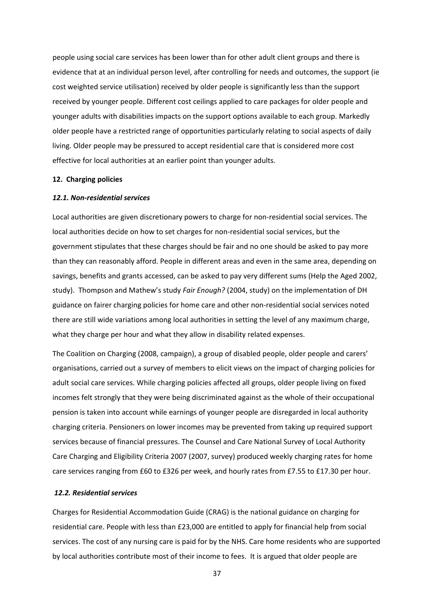people using social care services has been lower than for other adult client groups and there is evidence that at an individual person level, after controlling for needs and outcomes, the support (ie cost weighted service utilisation) received by older people is significantly less than the support received by younger people. Different cost ceilings applied to care packages for older people and younger adults with disabilities impacts on the support options available to each group. Markedly older people have a restricted range of opportunities particularly relating to social aspects of daily living. Older people may be pressured to accept residential care that is considered more cost effective for local authorities at an earlier point than younger adults.

## **12. Charging policies**

#### *12.1. Non‐residential services*

Local authorities are given discretionary powers to charge for non‐residential social services. The local authorities decide on how to set charges for non-residential social services, but the government stipulates that these charges should be fair and no one should be asked to pay more than they can reasonably afford. People in different areas and even in the same area, depending on savings, benefits and grants accessed, can be asked to pay very different sums (Help the Aged 2002, study). Thompson and Mathew's study *Fair Enough?* (2004, study) on the implementation of DH guidance on fairer charging policies for home care and other non‐residential social services noted there are still wide variations among local authorities in setting the level of any maximum charge, what they charge per hour and what they allow in disability related expenses.

The Coalition on Charging (2008, campaign), a group of disabled people, older people and carers' organisations, carried out a survey of members to elicit views on the impact of charging policies for adult social care services. While charging policies affected all groups, older people living on fixed incomes felt strongly that they were being discriminated against as the whole of their occupational pension is taken into account while earnings of younger people are disregarded in local authority charging criteria. Pensioners on lower incomes may be prevented from taking up required support services because of financial pressures. The Counsel and Care National Survey of Local Authority Care Charging and Eligibility Criteria 2007 (2007, survey) produced weekly charging rates for home care services ranging from £60 to £326 per week, and hourly rates from £7.55 to £17.30 per hour.

## *12.2. Residential services*

Charges for Residential Accommodation Guide (CRAG) is the national guidance on charging for residential care. People with less than £23,000 are entitled to apply for financial help from social services. The cost of any nursing care is paid for by the NHS. Care home residents who are supported by local authorities contribute most of their income to fees. It is argued that older people are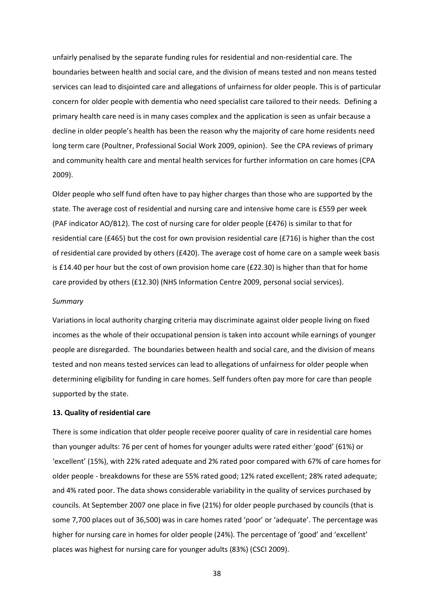unfairly penalised by the separate funding rules for residential and non‐residential care. The boundaries between health and social care, and the division of means tested and non means tested services can lead to disjointed care and allegations of unfairness for older people. This is of particular concern for older people with dementia who need specialist care tailored to their needs. Defining a primary health care need is in many cases complex and the application is seen as unfair because a decline in older people's health has been the reason why the majority of care home residents need long term care (Poultner, Professional Social Work 2009, opinion). See the CPA reviews of primary and community health care and mental health services for further information on care homes (CPA 2009).

Older people who self fund often have to pay higher charges than those who are supported by the state. The average cost of residential and nursing care and intensive home care is £559 per week (PAF indicator AO/B12). The cost of nursing care for older people (£476) is similar to that for residential care (£465) but the cost for own provision residential care (£716) is higher than the cost of residential care provided by others (£420). The average cost of home care on a sample week basis is £14.40 per hour but the cost of own provision home care (£22.30) is higher than that for home care provided by others (£12.30) (NHS Information Centre 2009, personal social services).

#### *Summary*

Variations in local authority charging criteria may discriminate against older people living on fixed incomes as the whole of their occupational pension is taken into account while earnings of younger people are disregarded. The boundaries between health and social care, and the division of means tested and non means tested services can lead to allegations of unfairness for older people when determining eligibility for funding in care homes. Self funders often pay more for care than people supported by the state.

#### **13. Quality of residential care**

There is some indication that older people receive poorer quality of care in residential care homes than younger adults: 76 per cent of homes for younger adults were rated either 'good' (61%) or 'excellent' (15%), with 22% rated adequate and 2% rated poor compared with 67% of care homes for older people ‐ breakdowns for these are 55% rated good; 12% rated excellent; 28% rated adequate; and 4% rated poor. The data shows considerable variability in the quality of services purchased by councils. At September 2007 one place in five (21%) for older people purchased by councils (that is some 7,700 places out of 36,500) was in care homes rated 'poor' or 'adequate'. The percentage was higher for nursing care in homes for older people (24%). The percentage of 'good' and 'excellent' places was highest for nursing care for younger adults (83%) (CSCI 2009).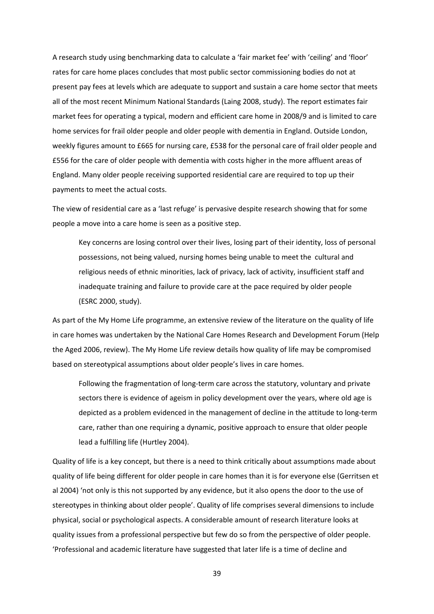A research study using benchmarking data to calculate a 'fair market fee' with 'ceiling' and 'floor' rates for care home places concludes that most public sector commissioning bodies do not at present pay fees at levels which are adequate to support and sustain a care home sector that meets all of the most recent Minimum National Standards (Laing 2008, study). The report estimates fair market fees for operating a typical, modern and efficient care home in 2008/9 and is limited to care home services for frail older people and older people with dementia in England. Outside London, weekly figures amount to £665 for nursing care, £538 for the personal care of frail older people and £556 for the care of older people with dementia with costs higher in the more affluent areas of England. Many older people receiving supported residential care are required to top up their payments to meet the actual costs.

The view of residential care as a 'last refuge' is pervasive despite research showing that for some people a move into a care home is seen as a positive step.

Key concerns are losing control over their lives, losing part of their identity, loss of personal possessions, not being valued, nursing homes being unable to meet the cultural and religious needs of ethnic minorities, lack of privacy, lack of activity, insufficient staff and inadequate training and failure to provide care at the pace required by older people (ESRC 2000, study).

As part of the My Home Life programme, an extensive review of the literature on the quality of life in care homes was undertaken by the National Care Homes Research and Development Forum (Help the Aged 2006, review). The My Home Life review details how quality of life may be compromised based on stereotypical assumptions about older people's lives in care homes.

Following the fragmentation of long‐term care across the statutory, voluntary and private sectors there is evidence of ageism in policy development over the years, where old age is depicted as a problem evidenced in the management of decline in the attitude to long‐term care, rather than one requiring a dynamic, positive approach to ensure that older people lead a fulfilling life (Hurtley 2004).

Quality of life is a key concept, but there is a need to think critically about assumptions made about quality of life being different for older people in care homes than it is for everyone else (Gerritsen et al 2004) 'not only is this not supported by any evidence, but it also opens the door to the use of stereotypes in thinking about older people'. Quality of life comprises several dimensions to include physical, social or psychological aspects. A considerable amount of research literature looks at quality issues from a professional perspective but few do so from the perspective of older people. 'Professional and academic literature have suggested that later life is a time of decline and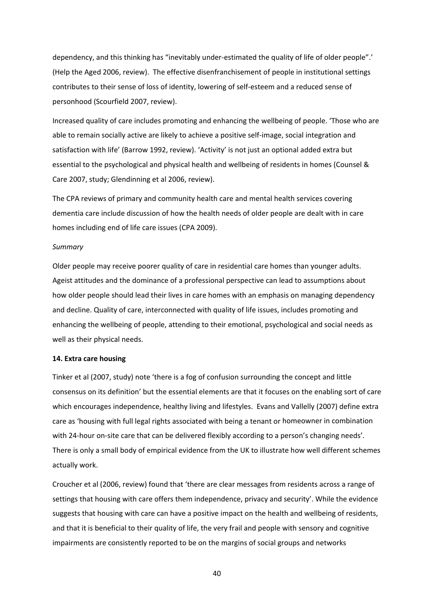dependency, and this thinking has "inevitably under‐estimated the quality of life of older people".' (Help the Aged 2006, review). The effective disenfranchisement of people in institutional settings contributes to their sense of loss of identity, lowering of self‐esteem and a reduced sense of personhood (Scourfield 2007, review).

Increased quality of care includes promoting and enhancing the wellbeing of people. 'Those who are able to remain socially active are likely to achieve a positive self-image, social integration and satisfaction with life' (Barrow 1992, review). 'Activity' is not just an optional added extra but essential to the psychological and physical health and wellbeing of residents in homes (Counsel & Care 2007, study; Glendinning et al 2006, review).

The CPA reviews of primary and community health care and mental health services covering dementia care include discussion of how the health needs of older people are dealt with in care homes including end of life care issues (CPA 2009).

#### *Summary*

Older people may receive poorer quality of care in residential care homes than younger adults. Ageist attitudes and the dominance of a professional perspective can lead to assumptions about how older people should lead their lives in care homes with an emphasis on managing dependency and decline. Quality of care, interconnected with quality of life issues, includes promoting and enhancing the wellbeing of people, attending to their emotional, psychological and social needs as well as their physical needs.

## **14. Extra care housing**

Tinker et al (2007, study) note 'there is a fog of confusion surrounding the concept and little consensus on its definition' but the essential elements are that it focuses on the enabling sort of care which encourages independence, healthy living and lifestyles. Evans and Vallelly (2007) define extra care as 'housing with full legal rights associated with being a tenant or homeowner in combination with 24-hour on-site care that can be delivered flexibly according to a person's changing needs'. There is only a small body of empirical evidence from the UK to illustrate how well different schemes actually work.

Croucher et al (2006, review) found that 'there are clear messages from residents across a range of settings that housing with care offers them independence, privacy and security'. While the evidence suggests that housing with care can have a positive impact on the health and wellbeing of residents, and that it is beneficial to their quality of life, the very frail and people with sensory and cognitive impairments are consistently reported to be on the margins of social groups and networks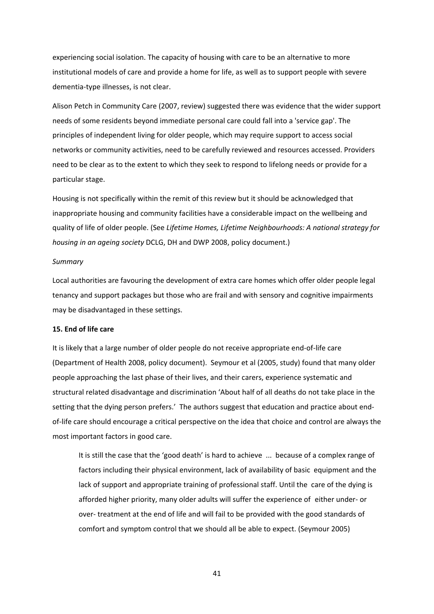experiencing social isolation. The capacity of housing with care to be an alternative to more institutional models of care and provide a home for life, as well as to support people with severe dementia‐type illnesses, is not clear.

Alison Petch in Community Care (2007, review) suggested there was evidence that the wider support needs of some residents beyond immediate personal care could fall into a 'service gap'. The principles of independent living for older people, which may require support to access social networks or community activities, need to be carefully reviewed and resources accessed. Providers need to be clear as to the extent to which they seek to respond to lifelong needs or provide for a particular stage.

Housing is not specifically within the remit of this review but it should be acknowledged that inappropriate housing and community facilities have a considerable impact on the wellbeing and quality of life of older people. (See *Lifetime Homes, Lifetime Neighbourhoods: A national strategy for housing in an ageing society* DCLG, DH and DWP 2008, policy document.)

#### *Summary*

Local authorities are favouring the development of extra care homes which offer older people legal tenancy and support packages but those who are frail and with sensory and cognitive impairments may be disadvantaged in these settings.

#### **15. End of life care**

It is likely that a large number of older people do not receive appropriate end‐of‐life care (Department of Health 2008, policy document). Seymour et al (2005, study) found that many older people approaching the last phase of their lives, and their carers, experience systematic and structural related disadvantage and discrimination 'About half of all deaths do not take place in the setting that the dying person prefers.' The authors suggest that education and practice about endof‐life care should encourage a critical perspective on the idea that choice and control are always the most important factors in good care.

It is still the case that the 'good death' is hard to achieve ... because of a complex range of factors including their physical environment, lack of availability of basic equipment and the lack of support and appropriate training of professional staff. Until the care of the dying is afforded higher priority, many older adults will suffer the experience of either under‐ or over-treatment at the end of life and will fail to be provided with the good standards of comfort and symptom control that we should all be able to expect. (Seymour 2005)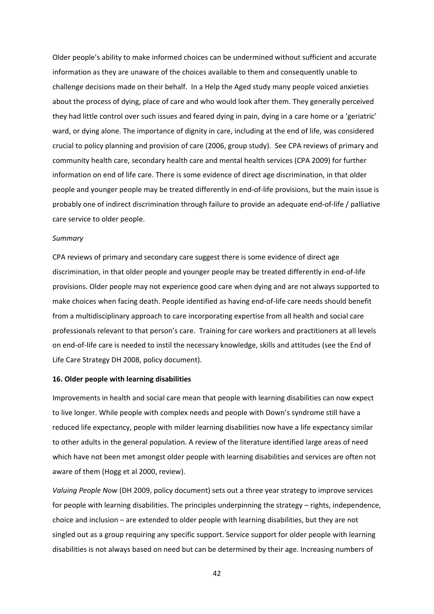Older people's ability to make informed choices can be undermined without sufficient and accurate information as they are unaware of the choices available to them and consequently unable to challenge decisions made on their behalf. In a Help the Aged study many people voiced anxieties about the process of dying, place of care and who would look after them. They generally perceived they had little control over such issues and feared dying in pain, dying in a care home or a 'geriatric' ward, or dying alone. The importance of dignity in care, including at the end of life, was considered crucial to policy planning and provision of care (2006, group study). See CPA reviews of primary and community health care, secondary health care and mental health services (CPA 2009) for further information on end of life care. There is some evidence of direct age discrimination, in that older people and younger people may be treated differently in end-of-life provisions, but the main issue is probably one of indirect discrimination through failure to provide an adequate end‐of‐life / palliative care service to older people.

## *Summary*

CPA reviews of primary and secondary care suggest there is some evidence of direct age discrimination, in that older people and younger people may be treated differently in end‐of‐life provisions. Older people may not experience good care when dying and are not always supported to make choices when facing death. People identified as having end‐of‐life care needs should benefit from a multidisciplinary approach to care incorporating expertise from all health and social care professionals relevant to that person's care. Training for care workers and practitioners at all levels on end‐of‐life care is needed to instil the necessary knowledge, skills and attitudes (see the End of Life Care Strategy DH 2008, policy document).

#### **16. Older people with learning disabilities**

Improvements in health and social care mean that people with learning disabilities can now expect to live longer. While people with complex needs and people with Down's syndrome still have a reduced life expectancy, people with milder learning disabilities now have a life expectancy similar to other adults in the general population. A review of the literature identified large areas of need which have not been met amongst older people with learning disabilities and services are often not aware of them (Hogg et al 2000, review).

*Valuing People Now* (DH 2009, policy document) sets out a three year strategy to improve services for people with learning disabilities. The principles underpinning the strategy – rights, independence, choice and inclusion – are extended to older people with learning disabilities, but they are not singled out as a group requiring any specific support. Service support for older people with learning disabilities is not always based on need but can be determined by their age. Increasing numbers of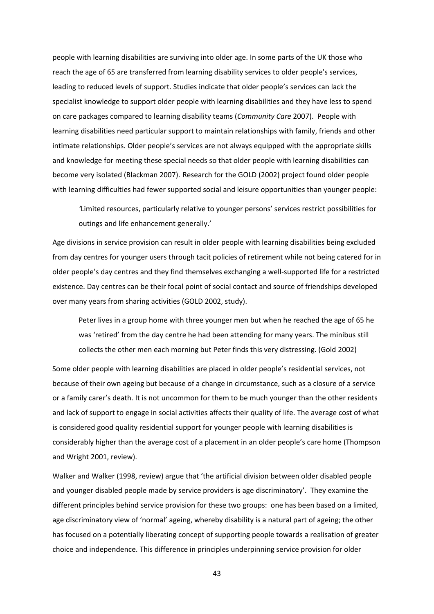people with learning disabilities are surviving into older age. In some parts of the UK those who reach the age of 65 are transferred from learning disability services to older people's services, leading to reduced levels of support. Studies indicate that older people's services can lack the specialist knowledge to support older people with learning disabilities and they have less to spend on care packages compared to learning disability teams (*Community Care* 2007). People with learning disabilities need particular support to maintain relationships with family, friends and other intimate relationships. Older people's services are not always equipped with the appropriate skills and knowledge for meeting these special needs so that older people with learning disabilities can become very isolated (Blackman 2007). Research for the GOLD (2002) project found older people with learning difficulties had fewer supported social and leisure opportunities than younger people:

*'*Limited resources, particularly relative to younger persons' services restrict possibilities for outings and life enhancement generally.'

Age divisions in service provision can result in older people with learning disabilities being excluded from day centres for younger users through tacit policies of retirement while not being catered for in older people's day centres and they find themselves exchanging a well‐supported life for a restricted existence. Day centres can be their focal point of social contact and source of friendships developed over many years from sharing activities (GOLD 2002, study).

Peter lives in a group home with three younger men but when he reached the age of 65 he was 'retired' from the day centre he had been attending for many years. The minibus still collects the other men each morning but Peter finds this very distressing. (Gold 2002)

Some older people with learning disabilities are placed in older people's residential services, not because of their own ageing but because of a change in circumstance, such as a closure of a service or a family carer's death. It is not uncommon for them to be much younger than the other residents and lack of support to engage in social activities affects their quality of life. The average cost of what is considered good quality residential support for younger people with learning disabilities is considerably higher than the average cost of a placement in an older people's care home (Thompson and Wright 2001, review).

Walker and Walker (1998, review) argue that 'the artificial division between older disabled people and younger disabled people made by service providers is age discriminatory'. They examine the different principles behind service provision for these two groups: one has been based on a limited, age discriminatory view of 'normal' ageing, whereby disability is a natural part of ageing; the other has focused on a potentially liberating concept of supporting people towards a realisation of greater choice and independence. This difference in principles underpinning service provision for older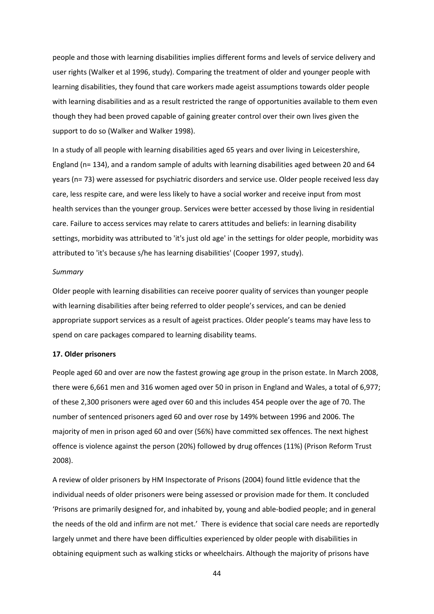people and those with learning disabilities implies different forms and levels of service delivery and user rights (Walker et al 1996, study). Comparing the treatment of older and younger people with learning disabilities, they found that care workers made ageist assumptions towards older people with learning disabilities and as a result restricted the range of opportunities available to them even though they had been proved capable of gaining greater control over their own lives given the support to do so (Walker and Walker 1998).

In a study of all people with learning disabilities aged 65 years and over living in Leicestershire, England (n= 134), and a random sample of adults with learning disabilities aged between 20 and 64 years (n= 73) were assessed for psychiatric disorders and service use. Older people received less day care, less respite care, and were less likely to have a social worker and receive input from most health services than the younger group. Services were better accessed by those living in residential care. Failure to access services may relate to carers attitudes and beliefs: in learning disability settings, morbidity was attributed to 'it's just old age' in the settings for older people, morbidity was attributed to 'it's because s/he has learning disabilities' (Cooper 1997, study).

#### *Summary*

Older people with learning disabilities can receive poorer quality of services than younger people with learning disabilities after being referred to older people's services, and can be denied appropriate support services as a result of ageist practices. Older people's teams may have less to spend on care packages compared to learning disability teams.

## **17. Older prisoners**

People aged 60 and over are now the fastest growing age group in the prison estate. In March 2008, there were 6,661 men and 316 women aged over 50 in prison in England and Wales, a total of 6,977; of these 2,300 prisoners were aged over 60 and this includes 454 people over the age of 70. The number of sentenced prisoners aged 60 and over rose by 149% between 1996 and 2006. The majority of men in prison aged 60 and over (56%) have committed sex offences. The next highest offence is violence against the person (20%) followed by drug offences (11%) (Prison Reform Trust 2008).

A review of older prisoners by HM Inspectorate of Prisons (2004) found little evidence that the individual needs of older prisoners were being assessed or provision made for them. It concluded 'Prisons are primarily designed for, and inhabited by, young and able‐bodied people; and in general the needs of the old and infirm are not met.' There is evidence that social care needs are reportedly largely unmet and there have been difficulties experienced by older people with disabilities in obtaining equipment such as walking sticks or wheelchairs. Although the majority of prisons have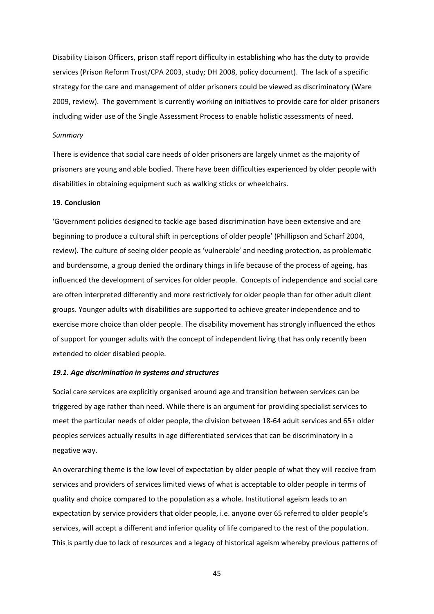Disability Liaison Officers, prison staff report difficulty in establishing who has the duty to provide services (Prison Reform Trust/CPA 2003, study; DH 2008, policy document). The lack of a specific strategy for the care and management of older prisoners could be viewed as discriminatory (Ware 2009, review). The government is currently working on initiatives to provide care for older prisoners including wider use of the Single Assessment Process to enable holistic assessments of need.

#### *Summary*

There is evidence that social care needs of older prisoners are largely unmet as the majority of prisoners are young and able bodied. There have been difficulties experienced by older people with disabilities in obtaining equipment such as walking sticks or wheelchairs.

## **19. Conclusion**

'Government policies designed to tackle age based discrimination have been extensive and are beginning to produce a cultural shift in perceptions of older people' (Phillipson and Scharf 2004, review). The culture of seeing older people as 'vulnerable' and needing protection, as problematic and burdensome, a group denied the ordinary things in life because of the process of ageing, has influenced the development of services for older people. Concepts of independence and social care are often interpreted differently and more restrictively for older people than for other adult client groups. Younger adults with disabilities are supported to achieve greater independence and to exercise more choice than older people. The disability movement has strongly influenced the ethos of support for younger adults with the concept of independent living that has only recently been extended to older disabled people.

## *19.1. Age discrimination in systems and structures*

Social care services are explicitly organised around age and transition between services can be triggered by age rather than need. While there is an argument for providing specialist services to meet the particular needs of older people, the division between 18-64 adult services and 65+ older peoples services actually results in age differentiated services that can be discriminatory in a negative way.

An overarching theme is the low level of expectation by older people of what they will receive from services and providers of services limited views of what is acceptable to older people in terms of quality and choice compared to the population as a whole. Institutional ageism leads to an expectation by service providers that older people, i.e. anyone over 65 referred to older people's services, will accept a different and inferior quality of life compared to the rest of the population. This is partly due to lack of resources and a legacy of historical ageism whereby previous patterns of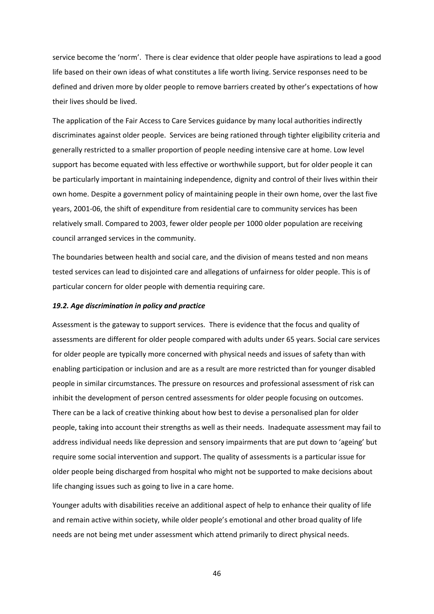service become the 'norm'. There is clear evidence that older people have aspirations to lead a good life based on their own ideas of what constitutes a life worth living. Service responses need to be defined and driven more by older people to remove barriers created by other's expectations of how their lives should be lived.

The application of the Fair Access to Care Services guidance by many local authorities indirectly discriminates against older people. Services are being rationed through tighter eligibility criteria and generally restricted to a smaller proportion of people needing intensive care at home. Low level support has become equated with less effective or worthwhile support, but for older people it can be particularly important in maintaining independence, dignity and control of their lives within their own home. Despite a government policy of maintaining people in their own home, over the last five years, 2001‐06, the shift of expenditure from residential care to community services has been relatively small. Compared to 2003, fewer older people per 1000 older population are receiving council arranged services in the community.

The boundaries between health and social care, and the division of means tested and non means tested services can lead to disjointed care and allegations of unfairness for older people. This is of particular concern for older people with dementia requiring care.

## *19.2. Age discrimination in policy and practice*

Assessment is the gateway to support services. There is evidence that the focus and quality of assessments are different for older people compared with adults under 65 years. Social care services for older people are typically more concerned with physical needs and issues of safety than with enabling participation or inclusion and are as a result are more restricted than for younger disabled people in similar circumstances. The pressure on resources and professional assessment of risk can inhibit the development of person centred assessments for older people focusing on outcomes. There can be a lack of creative thinking about how best to devise a personalised plan for older people, taking into account their strengths as well as their needs. Inadequate assessment may fail to address individual needs like depression and sensory impairments that are put down to 'ageing' but require some social intervention and support. The quality of assessments is a particular issue for older people being discharged from hospital who might not be supported to make decisions about life changing issues such as going to live in a care home.

Younger adults with disabilities receive an additional aspect of help to enhance their quality of life and remain active within society, while older people's emotional and other broad quality of life needs are not being met under assessment which attend primarily to direct physical needs.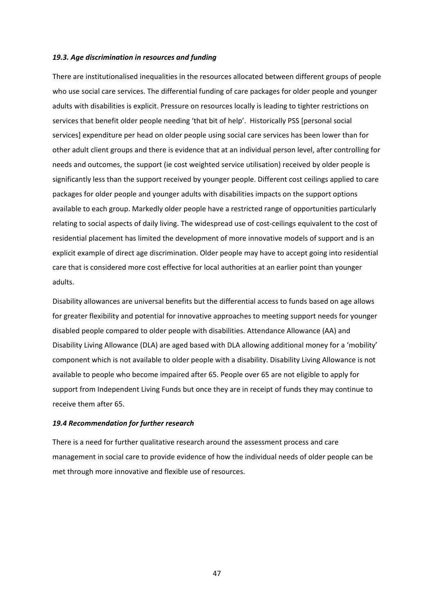## *19.3. Age discrimination in resources and funding*

There are institutionalised inequalities in the resources allocated between different groups of people who use social care services. The differential funding of care packages for older people and younger adults with disabilities is explicit. Pressure on resources locally is leading to tighter restrictions on services that benefit older people needing 'that bit of help'. Historically PSS [personal social services] expenditure per head on older people using social care services has been lower than for other adult client groups and there is evidence that at an individual person level, after controlling for needs and outcomes, the support (ie cost weighted service utilisation) received by older people is significantly less than the support received by younger people. Different cost ceilings applied to care packages for older people and younger adults with disabilities impacts on the support options available to each group. Markedly older people have a restricted range of opportunities particularly relating to social aspects of daily living. The widespread use of cost-ceilings equivalent to the cost of residential placement has limited the development of more innovative models of support and is an explicit example of direct age discrimination. Older people may have to accept going into residential care that is considered more cost effective for local authorities at an earlier point than younger adults.

Disability allowances are universal benefits but the differential access to funds based on age allows for greater flexibility and potential for innovative approaches to meeting support needs for younger disabled people compared to older people with disabilities. Attendance Allowance (AA) and Disability Living Allowance (DLA) are aged based with DLA allowing additional money for a 'mobility' component which is not available to older people with a disability. Disability Living Allowance is not available to people who become impaired after 65. People over 65 are not eligible to apply for support from Independent Living Funds but once they are in receipt of funds they may continue to receive them after 65.

#### *19.4 Recommendation for further research*

There is a need for further qualitative research around the assessment process and care management in social care to provide evidence of how the individual needs of older people can be met through more innovative and flexible use of resources.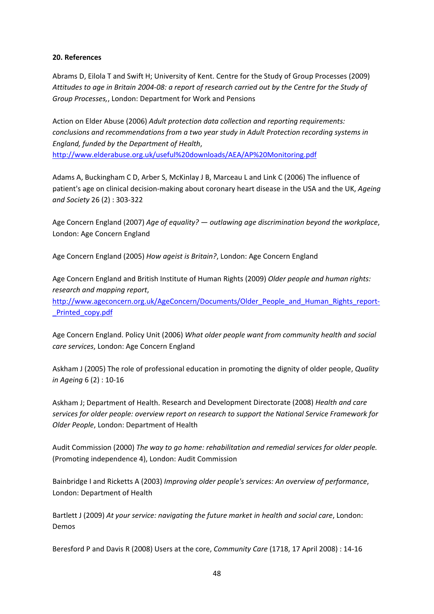## **20. References**

Abrams D, Eilola T and Swift H; University of Kent. Centre for the Study of Group Processes (2009) Attitudes to age in Britain 2004-08: a report of research carried out by the Centre for the Study of *Group Processes,*, London: Department for Work and Pensions

Action on Elder Abuse (2006) *Adult protection data collection and reporting requirements: conclusions and recommendations from a two year study in Adult Protection recording systems in England, funded by the Department of Health*, http://www.elderabuse.org.uk/useful%20downloads/AEA/AP%20Monitoring.pdf

Adams A, Buckingham C D, Arber S, McKinlay J B, Marceau L and Link C (2006) The influence of patient's age on clinical decision‐making about coronary heart disease in the USA and the UK, *Ageing and Society* 26 (2) : 303‐322

Age Concern England (2007) *Age of equality? — outlawing age discrimination beyond the workplace*, London: Age Concern England

Age Concern England (2005) *How ageist is Britain?*, London: Age Concern England

Age Concern England and British Institute of Human Rights (2009) *Older people and human rights: research and mapping report*,

http://www.ageconcern.org.uk/AgeConcern/Documents/Older\_People\_and\_Human\_Rights\_report-\_Printed\_copy.pdf

Age Concern England. Policy Unit (2006) *What older people want from community health and social care services*, London: Age Concern England

Askham J (2005) The role of professional education in promoting the dignity of older people, *Quality in Ageing* 6 (2) : 10‐16

Askham J; Department of Health. Research and Development Directorate (2008) *Health and care services for older people: overview report on research to support the National Service Framework for Older People*, London: Department of Health

Audit Commission (2000) *The way to go home: rehabilitation and remedial services for older people.* (Promoting independence 4), London: Audit Commission

Bainbridge I and Ricketts A (2003) *Improving older people's services: An overview of performance*, London: Department of Health

Bartlett J (2009) *At your service: navigating the future market in health and social care*, London: Demos

Beresford P and Davis R (2008) Users at the core, *Community Care* (1718, 17 April 2008) : 14‐16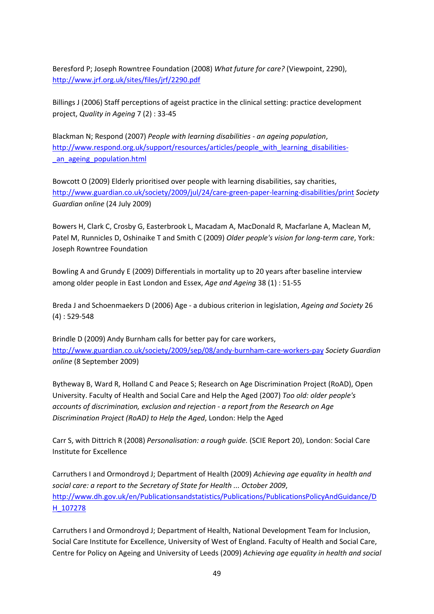Beresford P; Joseph Rowntree Foundation (2008) *What future for care?* (Viewpoint, 2290), http://www.jrf.org.uk/sites/files/jrf/2290.pdf

Billings J (2006) Staff perceptions of ageist practice in the clinical setting: practice development project, *Quality in Ageing* 7 (2) : 33‐45

Blackman N; Respond (2007) *People with learning disabilities ‐ an ageing population*, http://www.respond.org.uk/support/resources/articles/people\_with\_learning\_disabilitiesan ageing population.html

Bowcott O (2009) Elderly prioritised over people with learning disabilities, say charities, http://www.guardian.co.uk/society/2009/jul/24/care‐green‐paper‐learning‐disabilities/print *Society Guardian online* (24 July 2009)

Bowers H, Clark C, Crosby G, Easterbrook L, Macadam A, MacDonald R, Macfarlane A, Maclean M, Patel M, Runnicles D, Oshinaike T and Smith C (2009) *Older people's vision for long‐term care*, York: Joseph Rowntree Foundation

Bowling A and Grundy E (2009) Differentials in mortality up to 20 years after baseline interview among older people in East London and Essex, *Age and Ageing* 38 (1) : 51‐55

Breda J and Schoenmaekers D (2006) Age ‐ a dubious criterion in legislation, *Ageing and Society* 26 (4) : 529‐548

Brindle D (2009) Andy Burnham calls for better pay for care workers, http://www.guardian.co.uk/society/2009/sep/08/andy‐burnham‐care‐workers‐pay *Society Guardian online* (8 September 2009)

Bytheway B, Ward R, Holland C and Peace S; Research on Age Discrimination Project (RoAD), Open University. Faculty of Health and Social Care and Help the Aged (2007) *Too old: older people's accounts of discrimination, exclusion and rejection ‐ a report from the Research on Age Discrimination Project (RoAD) to Help the Aged*, London: Help the Aged

Carr S, with Dittrich R (2008) *Personalisation: a rough guide.* (SCIE Report 20), London: Social Care Institute for Excellence

Carruthers I and Ormondroyd J; Department of Health (2009) *Achieving age equality in health and social care: a report to the Secretary of State for Health ... October 2009*, http://www.dh.gov.uk/en/Publicationsandstatistics/Publications/PublicationsPolicyAndGuidance/D H\_107278

Carruthers I and Ormondroyd J; Department of Health, National Development Team for Inclusion, Social Care Institute for Excellence, University of West of England. Faculty of Health and Social Care, Centre for Policy on Ageing and University of Leeds (2009) *Achieving age equality in health and social*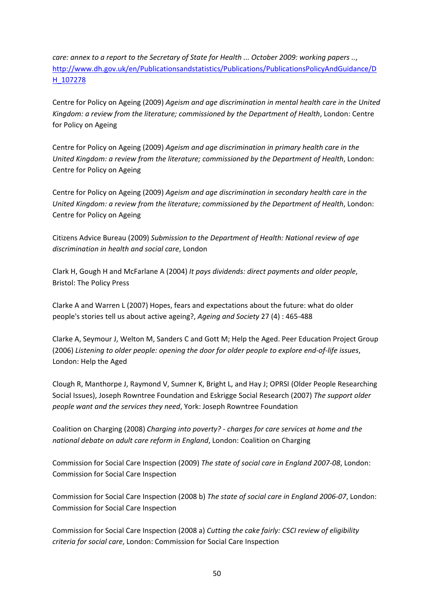*care: annex to a report to the Secretary of State for Health ... October 2009: working papers ..*, http://www.dh.gov.uk/en/Publicationsandstatistics/Publications/PublicationsPolicyAndGuidance/D H\_107278

Centre for Policy on Ageing (2009) *Ageism and age discrimination in mental health care in the United Kingdom: a review from the literature; commissioned by the Department of Health*, London: Centre for Policy on Ageing

Centre for Policy on Ageing (2009) *Ageism and age discrimination in primary health care in the United Kingdom: a review from the literature; commissioned by the Department of Health*, London: Centre for Policy on Ageing

Centre for Policy on Ageing (2009) *Ageism and age discrimination in secondary health care in the United Kingdom: a review from the literature; commissioned by the Department of Health*, London: Centre for Policy on Ageing

Citizens Advice Bureau (2009) *Submission to the Department of Health: National review of age discrimination in health and social care*, London

Clark H, Gough H and McFarlane A (2004) *It pays dividends: direct payments and older people*, Bristol: The Policy Press

Clarke A and Warren L (2007) Hopes, fears and expectations about the future: what do older people's stories tell us about active ageing?, *Ageing and Society* 27 (4) : 465‐488

Clarke A, Seymour J, Welton M, Sanders C and Gott M; Help the Aged. Peer Education Project Group (2006) *Listening to older people: opening the door for older people to explore end‐of‐life issues*, London: Help the Aged

Clough R, Manthorpe J, Raymond V, Sumner K, Bright L, and Hay J; OPRSI (Older People Researching Social Issues), Joseph Rowntree Foundation and Eskrigge Social Research (2007) *The support older people want and the services they need*, York: Joseph Rowntree Foundation

Coalition on Charging (2008) *Charging into poverty? ‐ charges for care services at home and the national debate on adult care reform in England*, London: Coalition on Charging

Commission for Social Care Inspection (2009) *The state of social care in England 2007‐08*, London: Commission for Social Care Inspection

Commission for Social Care Inspection (2008 b) *The state of social care in England 2006‐07*, London: Commission for Social Care Inspection

Commission for Social Care Inspection (2008 a) *Cutting the cake fairly: CSCI review of eligibility criteria for social care*, London: Commission for Social Care Inspection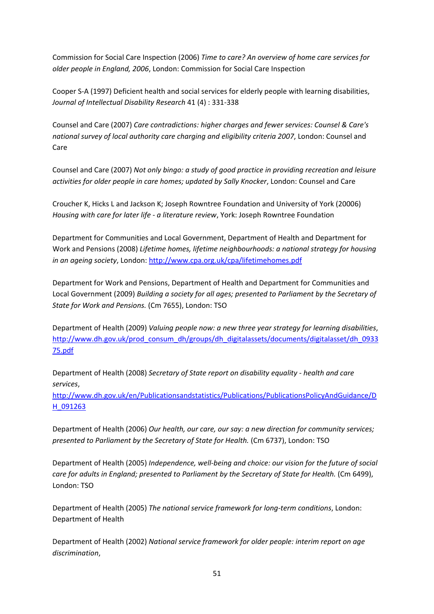Commission for Social Care Inspection (2006) *Time to care? An overview of home care services for older people in England, 2006*, London: Commission for Social Care Inspection

Cooper S‐A (1997) Deficient health and social services for elderly people with learning disabilities, *Journal of Intellectual Disability Research* 41 (4) : 331‐338

Counsel and Care (2007) *Care contradictions: higher charges and fewer services: Counsel & Care's national survey of local authority care charging and eligibility criteria 2007*, London: Counsel and Care

Counsel and Care (2007) *Not only bingo: a study of good practice in providing recreation and leisure activities for older people in care homes; updated by Sally Knocker*, London: Counsel and Care

Croucher K, Hicks L and Jackson K; Joseph Rowntree Foundation and University of York (20006) *Housing with care for later life ‐ a literature review*, York: Joseph Rowntree Foundation

Department for Communities and Local Government, Department of Health and Department for Work and Pensions (2008) *Lifetime homes, lifetime neighbourhoods: a national strategy for housing in an ageing society*, London: http://www.cpa.org.uk/cpa/lifetimehomes.pdf

Department for Work and Pensions, Department of Health and Department for Communities and Local Government (2009) *Building a society for all ages; presented to Parliament by the Secretary of State for Work and Pensions.* (Cm 7655), London: TSO

Department of Health (2009) *Valuing people now: a new three year strategy for learning disabilities*, http://www.dh.gov.uk/prod\_consum\_dh/groups/dh\_digitalassets/documents/digitalasset/dh\_0933 75.pdf

Department of Health (2008) *Secretary of State report on disability equality ‐ health and care services*,

http://www.dh.gov.uk/en/Publicationsandstatistics/Publications/PublicationsPolicyAndGuidance/D H\_091263

Department of Health (2006) *Our health, our care, our say: a new direction for community services; presented to Parliament by the Secretary of State for Health.* (Cm 6737), London: TSO

Department of Health (2005) *Independence, well‐being and choice: our vision for the future of social care for adults in England; presented to Parliament by the Secretary of State for Health.* (Cm 6499), London: TSO

Department of Health (2005) *The national service framework for long‐term conditions*, London: Department of Health

Department of Health (2002) *National service framework for older people: interim report on age discrimination*,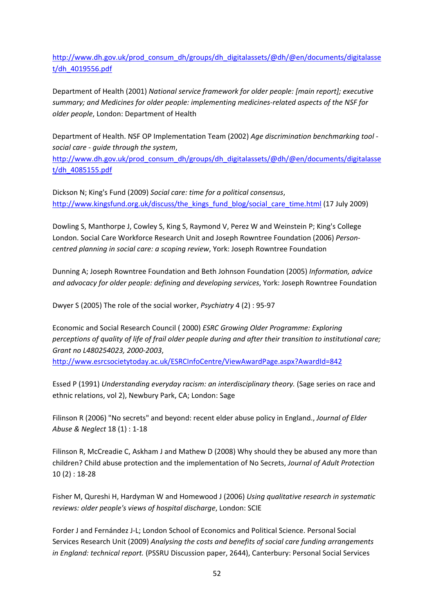http://www.dh.gov.uk/prod\_consum\_dh/groups/dh\_digitalassets/@dh/@en/documents/digitalasse t/dh\_4019556.pdf

Department of Health (2001) *National service framework for older people: [main report]; executive summary; and Medicines for older people: implementing medicines‐related aspects of the NSF for older people*, London: Department of Health

Department of Health. NSF OP Implementation Team (2002) *Age discrimination benchmarking tool ‐ social care ‐ guide through the system*, http://www.dh.gov.uk/prod\_consum\_dh/groups/dh\_digitalassets/@dh/@en/documents/digitalasse t/dh\_4085155.pdf

Dickson N; King's Fund (2009) *Social care: time for a political consensus*, http://www.kingsfund.org.uk/discuss/the\_kings\_fund\_blog/social\_care\_time.html (17 July 2009)

Dowling S, Manthorpe J, Cowley S, King S, Raymond V, Perez W and Weinstein P; King's College London. Social Care Workforce Research Unit and Joseph Rowntree Foundation (2006) *Person‐ centred planning in social care: a scoping review*, York: Joseph Rowntree Foundation

Dunning A; Joseph Rowntree Foundation and Beth Johnson Foundation (2005) *Information, advice and advocacy for older people: defining and developing services*, York: Joseph Rowntree Foundation

Dwyer S (2005) The role of the social worker, *Psychiatry* 4 (2) : 95‐97

Economic and Social Research Council ( 2000) *ESRC Growing Older Programme: Exploring* perceptions of quality of life of frail older people during and after their transition to institutional care; *Grant no L480254023, 2000‐2003*,

http://www.esrcsocietytoday.ac.uk/ESRCInfoCentre/ViewAwardPage.aspx?AwardId=842

Essed P (1991) *Understanding everyday racism: an interdisciplinary theory.* (Sage series on race and ethnic relations, vol 2), Newbury Park, CA; London: Sage

Filinson R (2006) "No secrets" and beyond: recent elder abuse policy in England., *Journal of Elder Abuse & Neglect* 18 (1) : 1‐18

Filinson R, McCreadie C, Askham J and Mathew D (2008) Why should they be abused any more than children? Child abuse protection and the implementation of No Secrets, *Journal of Adult Protection* 10 (2) : 18‐28

Fisher M, Qureshi H, Hardyman W and Homewood J (2006) *Using qualitative research in systematic reviews: older people's views of hospital discharge*, London: SCIE

Forder J and Fernández J‐L; London School of Economics and Political Science. Personal Social Services Research Unit (2009) *Analysing the costs and benefits of social care funding arrangements in England: technical report.* (PSSRU Discussion paper, 2644), Canterbury: Personal Social Services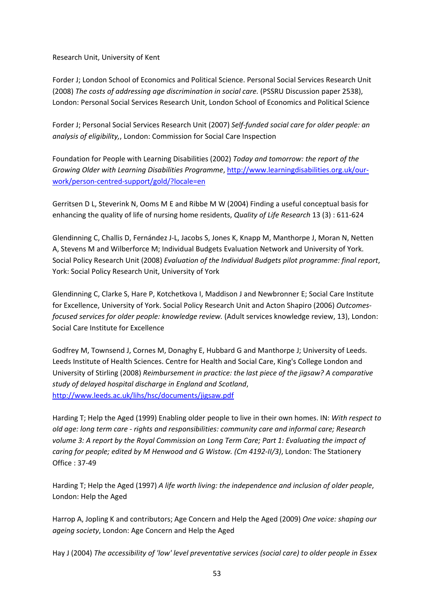Research Unit, University of Kent

Forder J; London School of Economics and Political Science. Personal Social Services Research Unit (2008) *The costs of addressing age discrimination in social care.* (PSSRU Discussion paper 2538), London: Personal Social Services Research Unit, London School of Economics and Political Science

Forder J; Personal Social Services Research Unit (2007) *Self‐funded social care for older people: an analysis of eligibility,*, London: Commission for Social Care Inspection

Foundation for People with Learning Disabilities (2002) *Today and tomorrow: the report of the Growing Older with Learning Disabilities Programme*, http://www.learningdisabilities.org.uk/our‐ work/person‐centred‐support/gold/?locale=en

Gerritsen D L, Steverink N, Ooms M E and Ribbe M W (2004) Finding a useful conceptual basis for enhancing the quality of life of nursing home residents, *Quality of Life Research* 13 (3) : 611‐624

Glendinning C, Challis D, Fernández J-L, Jacobs S, Jones K, Knapp M, Manthorpe J, Moran N, Netten A, Stevens M and Wilberforce M; Individual Budgets Evaluation Network and University of York. Social Policy Research Unit (2008) *Evaluation of the Individual Budgets pilot programme: final report*, York: Social Policy Research Unit, University of York

Glendinning C, Clarke S, Hare P, Kotchetkova I, Maddison J and Newbronner E; Social Care Institute for Excellence, University of York. Social Policy Research Unit and Acton Shapiro (2006) *Outcomes‐ focused services for older people: knowledge review.* (Adult services knowledge review, 13), London: Social Care Institute for Excellence

Godfrey M, Townsend J, Cornes M, Donaghy E, Hubbard G and Manthorpe J; University of Leeds. Leeds Institute of Health Sciences. Centre for Health and Social Care, King's College London and University of Stirling (2008) *Reimbursement in practice: the last piece of the jigsaw? A comparative study of delayed hospital discharge in England and Scotland*, http://www.leeds.ac.uk/lihs/hsc/documents/jigsaw.pdf

Harding T; Help the Aged (1999) Enabling older people to live in their own homes. IN: *With respect to old age: long term care ‐ rights and responsibilities: community care and informal care; Research volume 3: A report by the Royal Commission on Long Term Care; Part 1: Evaluating the impact of caring for people; edited by M Henwood and G Wistow. (Cm 4192‐II/3)*, London: The Stationery Office : 37‐49

Harding T; Help the Aged (1997) *A life worth living: the independence and inclusion of older people*, London: Help the Aged

Harrop A, Jopling K and contributors; Age Concern and Help the Aged (2009) *One voice: shaping our ageing society*, London: Age Concern and Help the Aged

Hay J (2004) *The accessibility of 'low' level preventative services (social care) to older people in Essex*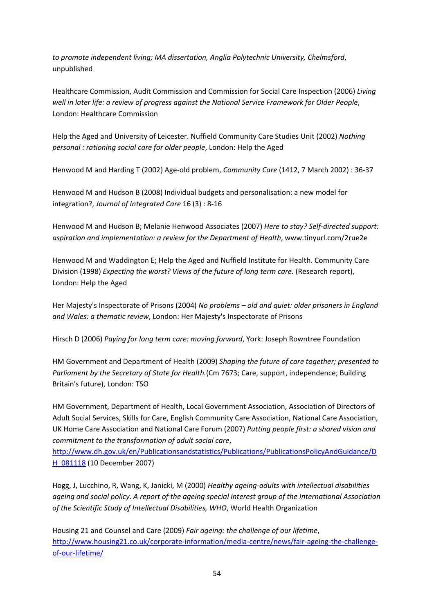*to promote independent living; MA dissertation, Anglia Polytechnic University, Chelmsford*, unpublished

Healthcare Commission, Audit Commission and Commission for Social Care Inspection (2006) *Living well in later life: a review of progress against the National Service Framework for Older People*, London: Healthcare Commission

Help the Aged and University of Leicester. Nuffield Community Care Studies Unit (2002) *Nothing personal : rationing social care for older people*, London: Help the Aged

Henwood M and Harding T (2002) Age‐old problem, *Community Care* (1412, 7 March 2002) : 36‐37

Henwood M and Hudson B (2008) Individual budgets and personalisation: a new model for integration?, *Journal of Integrated Care* 16 (3) : 8‐16

Henwood M and Hudson B; Melanie Henwood Associates (2007) *Here to stay? Self‐directed support: aspiration and implementation: a review for the Department of Health*, www.tinyurl.com/2rue2e

Henwood M and Waddington E; Help the Aged and Nuffield Institute for Health. Community Care Division (1998) *Expecting the worst? Views of the future of long term care.* (Research report), London: Help the Aged

Her Majesty's Inspectorate of Prisons (2004) *No problems – old and quiet: older prisoners in England and Wales: a thematic review*, London: Her Majesty's Inspectorate of Prisons

Hirsch D (2006) *Paying for long term care: moving forward*, York: Joseph Rowntree Foundation

HM Government and Department of Health (2009) *Shaping the future of care together; presented to Parliament by the Secretary of State for Health.*(Cm 7673; Care, support, independence; Building Britain's future), London: TSO

HM Government, Department of Health, Local Government Association, Association of Directors of Adult Social Services, Skills for Care, English Community Care Association, National Care Association, UK Home Care Association and National Care Forum (2007) *Putting people first: a shared vision and commitment to the transformation of adult social care*,

http://www.dh.gov.uk/en/Publicationsandstatistics/Publications/PublicationsPolicyAndGuidance/D H\_081118 (10 December 2007)

Hogg, J, Lucchino, R, Wang, K, Janicki, M (2000) *Healthy ageing‐adults with intellectual disabilities ageing and social policy. A report of the ageing special interest group of the International Association of the Scientific Study of Intellectual Disabilities, WHO*, World Health Organization

Housing 21 and Counsel and Care (2009) *Fair ageing: the challenge of our lifetime*, http://www.housing21.co.uk/corporate-information/media-centre/news/fair-ageing-the-challengeof‐our‐lifetime/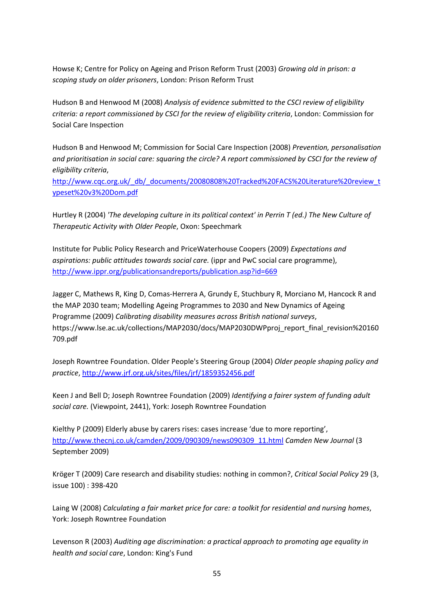Howse K; Centre for Policy on Ageing and Prison Reform Trust (2003) *Growing old in prison: a scoping study on older prisoners*, London: Prison Reform Trust

Hudson B and Henwood M (2008) *Analysis of evidence submitted to the CSCI review of eligibility criteria: a report commissioned by CSCI for the review of eligibility criteria*, London: Commission for Social Care Inspection

Hudson B and Henwood M; Commission for Social Care Inspection (2008) *Prevention, personalisation and prioritisation in social care: squaring the circle? A report commissioned by CSCI for the review of eligibility criteria*,

http://www.cqc.org.uk/\_db/\_documents/20080808%20Tracked%20FACS%20Literature%20review\_t ypeset%20v3%20Dom.pdf

Hurtley R (2004) *'The developing culture in its political context' in Perrin T (ed.) The New Culture of Therapeutic Activity with Older People*, Oxon: Speechmark

Institute for Public Policy Research and PriceWaterhouse Coopers (2009) *Expectations and aspirations: public attitudes towards social care.* (ippr and PwC social care programme), http://www.ippr.org/publicationsandreports/publication.asp?id=669

Jagger C, Mathews R, King D, Comas‐Herrera A, Grundy E, Stuchbury R, Morciano M, Hancock R and the MAP 2030 team; Modelling Ageing Programmes to 2030 and New Dynamics of Ageing Programme (2009) *Calibrating disability measures across British national surveys*, https://www.lse.ac.uk/collections/MAP2030/docs/MAP2030DWPproj\_report\_final\_revision%20160 709.pdf

Joseph Rowntree Foundation. Older People's Steering Group (2004) *Older people shaping policy and practice*, http://www.jrf.org.uk/sites/files/jrf/1859352456.pdf

Keen J and Bell D; Joseph Rowntree Foundation (2009) *Identifying a fairer system of funding adult social care.* (Viewpoint, 2441), York: Joseph Rowntree Foundation

Kielthy P (2009) Elderly abuse by carers rises: cases increase 'due to more reporting', http://www.thecnj.co.uk/camden/2009/090309/news090309\_11.html *Camden New Journal* (3 September 2009)

Kröger T (2009) Care research and disability studies: nothing in common?, *Critical Social Policy* 29 (3, issue 100) : 398‐420

Laing W (2008) *Calculating a fair market price for care: a toolkit for residential and nursing homes*, York: Joseph Rowntree Foundation

Levenson R (2003) *Auditing age discrimination: a practical approach to promoting age equality in health and social care*, London: King's Fund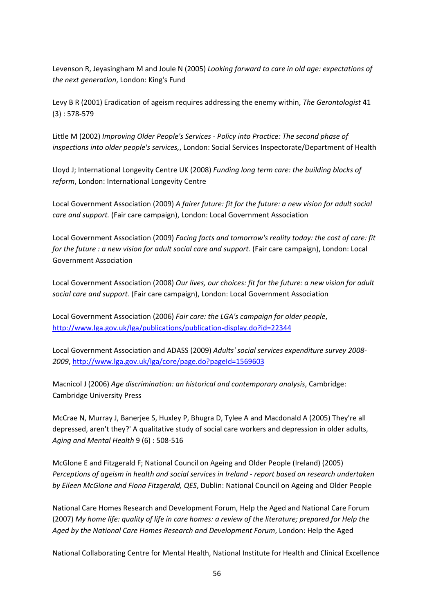Levenson R, Jeyasingham M and Joule N (2005) *Looking forward to care in old age: expectations of the next generation*, London: King's Fund

Levy B R (2001) Eradication of ageism requires addressing the enemy within, *The Gerontologist* 41 (3) : 578‐579

Little M (2002) *Improving Older People's Services ‐ Policy into Practice: The second phase of inspections into older people's services,*, London: Social Services Inspectorate/Department of Health

Lloyd J; International Longevity Centre UK (2008) *Funding long term care: the building blocks of reform*, London: International Longevity Centre

Local Government Association (2009) *A fairer future: fit for the future: a new vision for adult social care and support.* (Fair care campaign), London: Local Government Association

Local Government Association (2009) *Facing facts and tomorrow's reality today: the cost of care: fit for the future : a new vision for adult social care and support.* (Fair care campaign), London: Local Government Association

Local Government Association (2008) *Our lives, our choices: fit for the future: a new vision for adult social care and support.* (Fair care campaign), London: Local Government Association

Local Government Association (2006) *Fair care: the LGA's campaign for older people*, http://www.lga.gov.uk/lga/publications/publication‐display.do?id=22344

Local Government Association and ADASS (2009) *Adults' social services expenditure survey 2008‐ 2009*, http://www.lga.gov.uk/lga/core/page.do?pageId=1569603

Macnicol J (2006) *Age discrimination: an historical and contemporary analysis*, Cambridge: Cambridge University Press

McCrae N, Murray J, Banerjee S, Huxley P, Bhugra D, Tylee A and Macdonald A (2005) They're all depressed, aren't they?' A qualitative study of social care workers and depression in older adults, *Aging and Mental Health* 9 (6) : 508‐516

McGlone E and Fitzgerald F; National Council on Ageing and Older People (Ireland) (2005) *Perceptions of ageism in health and social services in Ireland ‐ report based on research undertaken by Eileen McGlone and Fiona Fitzgerald, QES*, Dublin: National Council on Ageing and Older People

National Care Homes Research and Development Forum, Help the Aged and National Care Forum (2007) My home life: quality of life in care homes: a review of the literature; prepared for Help the *Aged by the National Care Homes Research and Development Forum*, London: Help the Aged

National Collaborating Centre for Mental Health, National Institute for Health and Clinical Excellence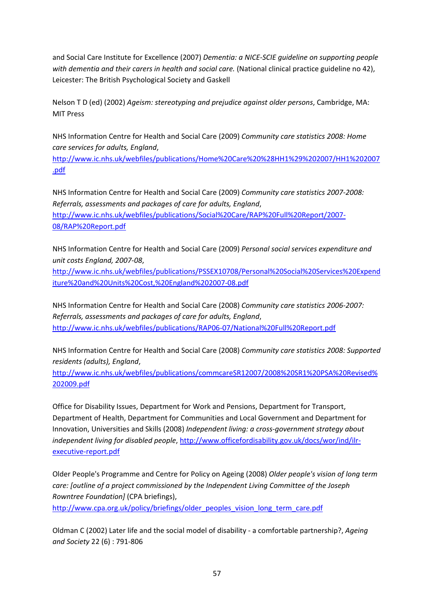and Social Care Institute for Excellence (2007) *Dementia: a NICE‐SCIE guideline on supporting people with dementia and their carers in health and social care.* (National clinical practice guideline no 42), Leicester: The British Psychological Society and Gaskell

Nelson T D (ed) (2002) *Ageism: stereotyping and prejudice against older persons*, Cambridge, MA: MIT Press

NHS Information Centre for Health and Social Care (2009) *Community care statistics 2008: Home care services for adults, England*,

http://www.ic.nhs.uk/webfiles/publications/Home%20Care%20%28HH1%29%202007/HH1%202007 .pdf

NHS Information Centre for Health and Social Care (2009) *Community care statistics 2007‐2008: Referrals, assessments and packages of care for adults, England*, http://www.ic.nhs.uk/webfiles/publications/Social%20Care/RAP%20Full%20Report/2007‐ 08/RAP%20Report.pdf

NHS Information Centre for Health and Social Care (2009) *Personal social services expenditure and unit costs England, 2007‐08*,

http://www.ic.nhs.uk/webfiles/publications/PSSEX10708/Personal%20Social%20Services%20Expend iture%20and%20Units%20Cost,%20England%202007‐08.pdf

NHS Information Centre for Health and Social Care (2008) *Community care statistics 2006‐2007: Referrals, assessments and packages of care for adults, England*, http://www.ic.nhs.uk/webfiles/publications/RAP06‐07/National%20Full%20Report.pdf

NHS Information Centre for Health and Social Care (2008) *Community care statistics 2008: Supported residents (adults), England*,

http://www.ic.nhs.uk/webfiles/publications/commcareSR12007/2008%20SR1%20PSA%20Revised% 202009.pdf

Office for Disability Issues, Department for Work and Pensions, Department for Transport, Department of Health, Department for Communities and Local Government and Department for Innovation, Universities and Skills (2008) *Independent living: a cross‐government strategy about independent living for disabled people*, http://www.officefordisability.gov.uk/docs/wor/ind/ilr‐ executive‐report.pdf

Older People's Programme and Centre for Policy on Ageing (2008) *Older people's vision of long term care: [outline of a project commissioned by the Independent Living Committee of the Joseph Rowntree Foundation]* (CPA briefings),

http://www.cpa.org.uk/policy/briefings/older\_peoples\_vision\_long\_term\_care.pdf

Oldman C (2002) Later life and the social model of disability ‐ a comfortable partnership?, *Ageing and Society* 22 (6) : 791‐806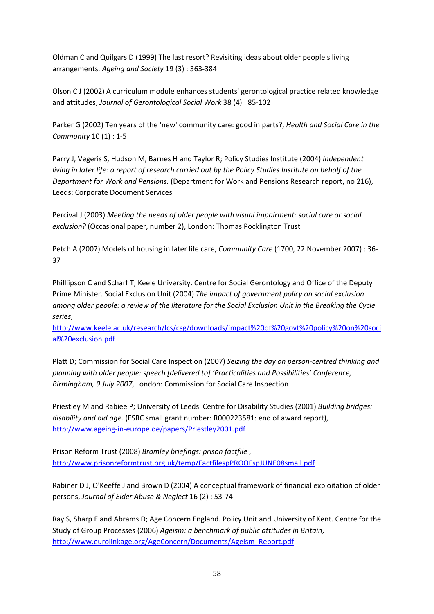Oldman C and Quilgars D (1999) The last resort? Revisiting ideas about older people's living arrangements, *Ageing and Society* 19 (3) : 363‐384

Olson C J (2002) A curriculum module enhances students' gerontological practice related knowledge and attitudes, *Journal of Gerontological Social Work* 38 (4) : 85‐102

Parker G (2002) Ten years of the 'new' community care: good in parts?, *Health and Social Care in the Community* 10 (1) : 1‐5

Parry J, Vegeris S, Hudson M, Barnes H and Taylor R; Policy Studies Institute (2004) *Independent* living in later life: a report of research carried out by the Policy Studies Institute on behalf of the *Department for Work and Pensions.* (Department for Work and Pensions Research report, no 216), Leeds: Corporate Document Services

Percival J (2003) *Meeting the needs of older people with visual impairment: social care or social exclusion?* (Occasional paper, number 2), London: Thomas Pocklington Trust

Petch A (2007) Models of housing in later life care, *Community Care* (1700, 22 November 2007) : 36‐ 37

Philliipson C and Scharf T; Keele University. Centre for Social Gerontology and Office of the Deputy Prime Minister. Social Exclusion Unit (2004) *The impact of government policy on social exclusion* among older people: a review of the literature for the Social Exclusion Unit in the Breaking the Cycle *series*,

http://www.keele.ac.uk/research/lcs/csg/downloads/impact%20of%20govt%20policy%20on%20soci al%20exclusion.pdf

Platt D; Commission for Social Care Inspection (2007) *Seizing the day on person‐centred thinking and planning with older people: speech [delivered to] 'Practicalities and Possibilities' Conference, Birmingham, 9 July 2007*, London: Commission for Social Care Inspection

Priestley M and Rabiee P; University of Leeds. Centre for Disability Studies (2001) *Building bridges: disability and old age.* (ESRC small grant number: R000223581: end of award report), http://www.ageing‐in‐europe.de/papers/Priestley2001.pdf

Prison Reform Trust (2008) *Bromley briefings: prison factfile* , http://www.prisonreformtrust.org.uk/temp/FactfilespPROOFspJUNE08small.pdf

Rabiner D J, O'Keeffe J and Brown D (2004) A conceptual framework of financial exploitation of older persons, *Journal of Elder Abuse & Neglect* 16 (2) : 53‐74

Ray S, Sharp E and Abrams D; Age Concern England. Policy Unit and University of Kent. Centre for the Study of Group Processes (2006) *Ageism: a benchmark of public attitudes in Britain*, http://www.eurolinkage.org/AgeConcern/Documents/Ageism\_Report.pdf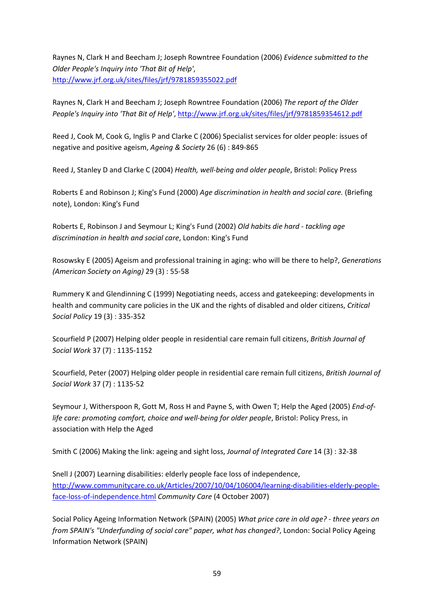Raynes N, Clark H and Beecham J; Joseph Rowntree Foundation (2006) *Evidence submitted to the Older People's Inquiry into 'That Bit of Help'*, http://www.jrf.org.uk/sites/files/jrf/9781859355022.pdf

Raynes N, Clark H and Beecham J; Joseph Rowntree Foundation (2006) *The report of the Older People's Inquiry into 'That Bit of Help'*, http://www.jrf.org.uk/sites/files/jrf/9781859354612.pdf

Reed J, Cook M, Cook G, Inglis P and Clarke C (2006) Specialist services for older people: issues of negative and positive ageism, *Ageing & Society* 26 (6) : 849‐865

Reed J, Stanley D and Clarke C (2004) *Health, well‐being and older people*, Bristol: Policy Press

Roberts E and Robinson J; King's Fund (2000) *Age discrimination in health and social care.* (Briefing note), London: King's Fund

Roberts E, Robinson J and Seymour L; King's Fund (2002) *Old habits die hard ‐ tackling age discrimination in health and social care*, London: King's Fund

Rosowsky E (2005) Ageism and professional training in aging: who will be there to help?, *Generations (American Society on Aging)* 29 (3) : 55‐58

Rummery K and Glendinning C (1999) Negotiating needs, access and gatekeeping: developments in health and community care policies in the UK and the rights of disabled and older citizens, *Critical Social Policy* 19 (3) : 335‐352

Scourfield P (2007) Helping older people in residential care remain full citizens, *British Journal of Social Work* 37 (7) : 1135‐1152

Scourfield, Peter (2007) Helping older people in residential care remain full citizens, *British Journal of Social Work* 37 (7) : 1135‐52

Seymour J, Witherspoon R, Gott M, Ross H and Payne S, with Owen T; Help the Aged (2005) *End‐of‐ life care: promoting comfort, choice and well‐being for older people*, Bristol: Policy Press, in association with Help the Aged

Smith C (2006) Making the link: ageing and sight loss, *Journal of Integrated Care* 14 (3) : 32‐38

Snell J (2007) Learning disabilities: elderly people face loss of independence, http://www.communitycare.co.uk/Articles/2007/10/04/106004/learning‐disabilities‐elderly‐people‐ face‐loss‐of‐independence.html *Community Care* (4 October 2007)

Social Policy Ageing Information Network (SPAIN) (2005) *What price care in old age? ‐ three years on from SPAIN's "Underfunding of social care" paper, what has changed?*, London: Social Policy Ageing Information Network (SPAIN)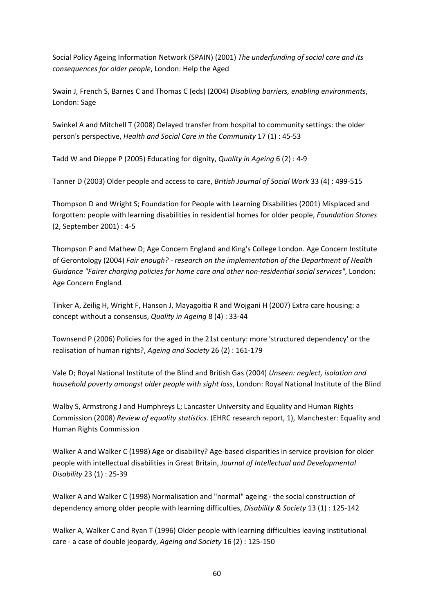Social Policy Ageing Information Network (SPAIN) (2001) *The underfunding of social care and its consequences for older people*, London: Help the Aged

Swain J, French S, Barnes C and Thomas C (eds) (2004) *Disabling barriers, enabling environments*, London: Sage

Swinkel A and Mitchell T (2008) Delayed transfer from hospital to community settings: the older person's perspective, *Health and Social Care in the Community* 17 (1) : 45‐53

Tadd W and Dieppe P (2005) Educating for dignity, *Quality in Ageing* 6 (2) : 4‐9

Tanner D (2003) Older people and access to care, *British Journal of Social Work* 33 (4) : 499‐515

Thompson D and Wright S; Foundation for People with Learning Disabilities (2001) Misplaced and forgotten: people with learning disabilities in residential homes for older people, *Foundation Stones* (2, September 2001) : 4‐5

Thompson P and Mathew D; Age Concern England and King's College London. Age Concern Institute of Gerontology (2004) *Fair enough? ‐ research on the implementation of the Department of Health Guidance "Fairer charging policies for home care and other non‐residential social services"*, London: Age Concern England

Tinker A, Zeilig H, Wright F, Hanson J, Mayagoitia R and Wojgani H (2007) Extra care housing: a concept without a consensus, *Quality in Ageing* 8 (4) : 33‐44

Townsend P (2006) Policies for the aged in the 21st century: more 'structured dependency' or the realisation of human rights?, *Ageing and Society* 26 (2) : 161‐179

Vale D; Royal National Institute of the Blind and British Gas (2004) *Unseen: neglect, isolation and household poverty amongst older people with sight loss*, London: Royal National Institute of the Blind

Walby S, Armstrong J and Humphreys L; Lancaster University and Equality and Human Rights Commission (2008) *Review of equality statistics.* (EHRC research report, 1), Manchester: Equality and Human Rights Commission

Walker A and Walker C (1998) Age or disability? Age‐based disparities in service provision for older people with intellectual disabilities in Great Britain, *Journal of Intellectual and Developmental Disability* 23 (1) : 25‐39

Walker A and Walker C (1998) Normalisation and "normal" ageing ‐ the social construction of dependency among older people with learning difficulties, *Disability & Society* 13 (1) : 125‐142

Walker A, Walker C and Ryan T (1996) Older people with learning difficulties leaving institutional care ‐ a case of double jeopardy, *Ageing and Society* 16 (2) : 125‐150